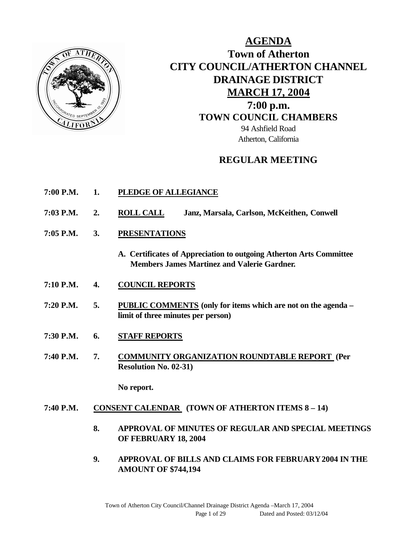

## **AGENDA Town of Atherton CITY COUNCIL/ATHERTON CHANNEL DRAINAGE DISTRICT MARCH 17, 2004 7:00 p.m. TOWN COUNCIL CHAMBERS** 94 Ashfield Road Atherton, California

## **REGULAR MEETING**

- **7:00 P.M. 1. PLEDGE OF ALLEGIANCE**
- **7:03 P.M. 2. ROLL CALL Janz, Marsala, Carlson, McKeithen, Conwell**
- **7:05 P.M. 3. PRESENTATIONS** 
	- **A. Certificates of Appreciation to outgoing Atherton Arts Committee Members James Martinez and Valerie Gardner.**
- **7:10 P.M. 4. COUNCIL REPORTS**
- **7:20 P.M. 5. PUBLIC COMMENTS (only for items which are not on the agenda – limit of three minutes per person)**
- **7:30 P.M. 6. STAFF REPORTS**
- **7:40 P.M. 7. COMMUNITY ORGANIZATION ROUNDTABLE REPORT (Per Resolution No. 02-31)**

**No report.**

#### **7:40 P.M. CONSENT CALENDAR (TOWN OF ATHERTON ITEMS 8 – 14)**

- **8. APPROVAL OF MINUTES OF REGULAR AND SPECIAL MEETINGS OF FEBRUARY 18, 2004**
- **9. APPROVAL OF BILLS AND CLAIMS FOR FEBRUARY 2004 IN THE AMOUNT OF \$744,194**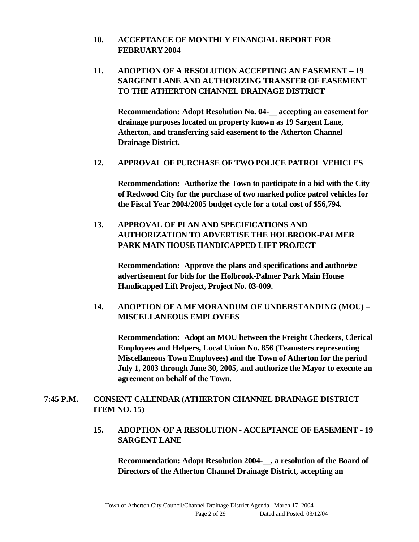#### **10. ACCEPTANCE OF MONTHLY FINANCIAL REPORT FOR FEBRUARY 2004**

### **11. ADOPTION OF A RESOLUTION ACCEPTING AN EASEMENT – 19 SARGENT LANE AND AUTHORIZING TRANSFER OF EASEMENT TO THE ATHERTON CHANNEL DRAINAGE DISTRICT**

**Recommendation: Adopt Resolution No. 04-\_\_ accepting an easement for drainage purposes located on property known as 19 Sargent Lane, Atherton, and transferring said easement to the Atherton Channel Drainage District.**

#### **12. APPROVAL OF PURCHASE OF TWO POLICE PATROL VEHICLES**

**Recommendation: Authorize the Town to participate in a bid with the City of Redwood City for the purchase of two marked police patrol vehicles for the Fiscal Year 2004/2005 budget cycle for a total cost of \$56,794.**

## **13. APPROVAL OF PLAN AND SPECIFICATIONS AND AUTHORIZATION TO ADVERTISE THE HOLBROOK-PALMER PARK MAIN HOUSE HANDICAPPED LIFT PROJECT**

**Recommendation: Approve the plans and specifications and authorize advertisement for bids for the Holbrook-Palmer Park Main House Handicapped Lift Project, Project No. 03-009.**

## **14. ADOPTION OF A MEMORANDUM OF UNDERSTANDING (MOU) – MISCELLANEOUS EMPLOYEES**

**Recommendation: Adopt an MOU between the Freight Checkers, Clerical Employees and Helpers, Local Union No. 856 (Teamsters representing Miscellaneous Town Employees) and the Town of Atherton for the period July 1, 2003 through June 30, 2005, and authorize the Mayor to execute an agreement on behalf of the Town.**

### **7:45 P.M. CONSENT CALENDAR (ATHERTON CHANNEL DRAINAGE DISTRICT ITEM NO. 15)**

### **15. ADOPTION OF A RESOLUTION - ACCEPTANCE OF EASEMENT - 19 SARGENT LANE**

**Recommendation: Adopt Resolution 2004-\_\_, a resolution of the Board of Directors of the Atherton Channel Drainage District, accepting an**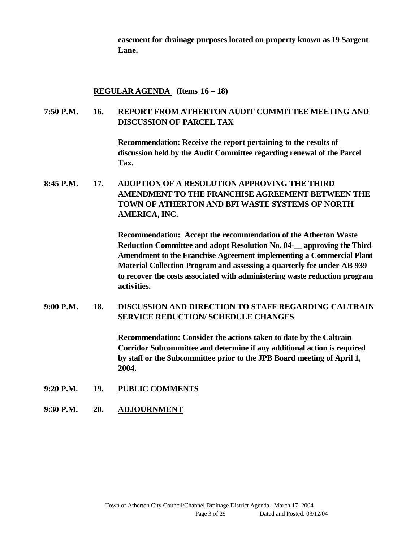**easement for drainage purposes located on property known as 19 Sargent Lane.**

#### **REGULAR AGENDA (Items 16 – 18)**

#### **7:50 P.M. 16. REPORT FROM ATHERTON AUDIT COMMITTEE MEETING AND DISCUSSION OF PARCEL TAX**

**Recommendation: Receive the report pertaining to the results of discussion held by the Audit Committee regarding renewal of the Parcel Tax.**

**8:45 P.M. 17. ADOPTION OF A RESOLUTION APPROVING THE THIRD AMENDMENT TO THE FRANCHISE AGREEMENT BETWEEN THE TOWN OF ATHERTON AND BFI WASTE SYSTEMS OF NORTH AMERICA, INC.**

> **Recommendation: Accept the recommendation of the Atherton Waste Reduction Committee and adopt Resolution No. 04-\_\_ approving the Third Amendment to the Franchise Agreement implementing a Commercial Plant Material Collection Program and assessing a quarterly fee under AB 939 to recover the costs associated with administering waste reduction program activities.**

**9:00 P.M. 18. DISCUSSION AND DIRECTION TO STAFF REGARDING CALTRAIN SERVICE REDUCTION/ SCHEDULE CHANGES** 

> **Recommendation: Consider the actions taken to date by the Caltrain Corridor Subcommittee and determine if any additional action is required by staff or the Subcommittee prior to the JPB Board meeting of April 1, 2004.**

- **9:20 P.M. 19. PUBLIC COMMENTS**
- **9:30 P.M. 20. ADJOURNMENT**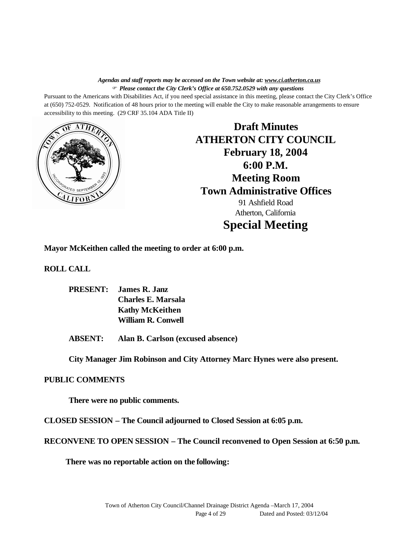*Agendas and staff reports may be accessed on the Town website at: www.ci.atherton.ca.us* F *Please contact the City Clerk's Office at 650.752.0529 with any questions*

Pursuant to the Americans with Disabilities Act, if you need special assistance in this meeting, please contact the City Clerk's Office at (650) 752-0529. Notification of 48 hours prior to the meeting will enable the City to make reasonable arrangements to ensure accessibility to this meeting. (29 CRF 35.104 ADA Title II)



**Draft Minutes ATHERTON CITY COUNCIL February 18, 2004 6:00 P.M. Meeting Room Town Administrative Offices** 91 Ashfield Road Atherton, California **Special Meeting**

**Mayor McKeithen called the meeting to order at 6:00 p.m.**

**ROLL CALL**

**PRESENT: James R. Janz Charles E. Marsala Kathy McKeithen William R. Conwell**

**ABSENT: Alan B. Carlson (excused absence)**

**City Manager Jim Robinson and City Attorney Marc Hynes were also present.**

#### **PUBLIC COMMENTS**

**There were no public comments.**

**CLOSED SESSION – The Council adjourned to Closed Session at 6:05 p.m.**

**RECONVENE TO OPEN SESSION – The Council reconvened to Open Session at 6:50 p.m.** 

**There was no reportable action on the following:**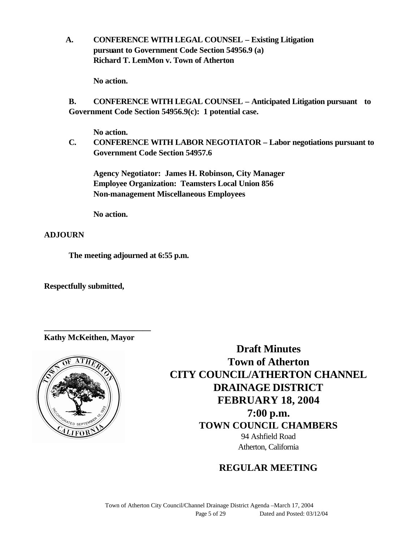**A. CONFERENCE WITH LEGAL COUNSEL – Existing Litigation pursuant to Government Code Section 54956.9 (a) Richard T. LemMon v. Town of Atherton**

**No action.**

**B. CONFERENCE WITH LEGAL COUNSEL – Anticipated Litigation pursuant to Government Code Section 54956.9(c): 1 potential case.**

**No action.**

**C. CONFERENCE WITH LABOR NEGOTIATOR – Labor negotiations pursuant to Government Code Section 54957.6**

**Agency Negotiator: James H. Robinson, City Manager Employee Organization: Teamsters Local Union 856 Non-management Miscellaneous Employees**

**No action.**

**ADJOURN**

**The meeting adjourned at 6:55 p.m.**

**Respectfully submitted,**

**Kathy McKeithen, Mayor**

**\_\_\_\_\_\_\_\_\_\_\_\_\_\_\_\_\_\_\_\_\_\_\_\_\_\_**



**Draft Minutes Town of Atherton CITY COUNCIL/ATHERTON CHANNEL DRAINAGE DISTRICT FEBRUARY 18, 2004 7:00 p.m. TOWN COUNCIL CHAMBERS** 94 Ashfield Road Atherton, California

## **REGULAR MEETING**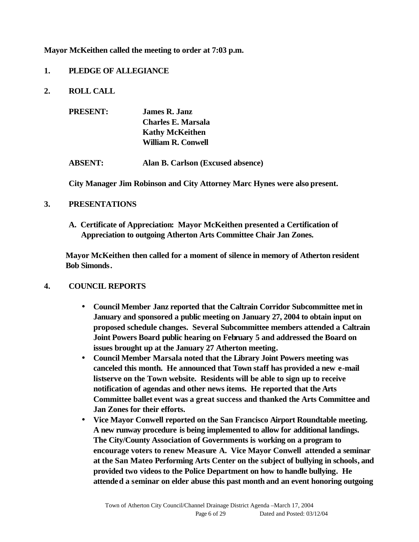**Mayor McKeithen called the meeting to order at 7:03 p.m.**

#### **1. PLEDGE OF ALLEGIANCE**

**2. ROLL CALL** 

| <b>PRESENT:</b> | James R. Janz<br>Charles E. Marsala<br><b>Kathy McKeithen</b><br><b>William R. Conwell</b> |
|-----------------|--------------------------------------------------------------------------------------------|
| <b>ABSENT:</b>  | Alan B. Carlson (Excused absence)                                                          |

**City Manager Jim Robinson and City Attorney Marc Hynes were also present.**

#### **3. PRESENTATIONS**

**A. Certificate of Appreciation: Mayor McKeithen presented a Certification of Appreciation to outgoing Atherton Arts Committee Chair Jan Zones.** 

**Mayor McKeithen then called for a moment of silence in memory of Atherton resident Bob Simonds.**

## **4. COUNCIL REPORTS**

- **Council Member Janz reported that the Caltrain Corridor Subcommittee metin January and sponsored a public meeting on January 27, 2004 to obtain input on proposed schedule changes. Several Subcommittee members attended a Caltrain Joint Powers Board public hearing on February 5 and addressed the Board on issues brought up at the January 27 Atherton meeting.**
- **Council Member Marsala noted that the Library Joint Powers meeting was canceled this month. He announced that Town staff has provided a new e-mail listserve on the Town website. Residents will be able to sign up to receive notification of agendas and other news items. He reported that the Arts Committee ballet event was a great success and thanked the Arts Committee and Jan Zones for their efforts.**
- **Vice Mayor Conwell reported on the San Francisco Airport Roundtable meeting. A new runway procedure is being implemented to allow for additional landings. The City/County Association of Governments is working on a program to encourage voters to renew Measure A. Vice Mayor Conwell attended a seminar at the San Mateo Performing Arts Center on the subject of bullying in schools, and provided two videos to the Police Department on how to handle bullying. He attended a seminar on elder abuse this past month and an event honoring outgoing**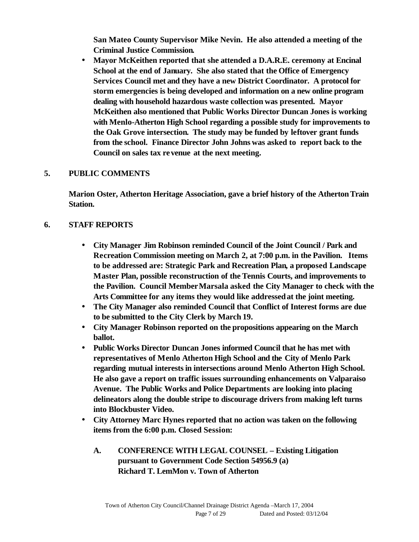**San Mateo County Supervisor Mike Nevin. He also attended a meeting of the Criminal Justice Commission.** 

• **Mayor McKeithen reported that she attended a D.A.R.E. ceremony at Encinal School at the end of January. She also stated that the Office of Emergency Services Council met and they have a new District Coordinator. A protocol for storm emergencies is being developed and information on a new online program dealing with household hazardous waste collection was presented. Mayor McKeithen also mentioned that Public Works Director Duncan Jones is working with Menlo-Atherton High School regarding a possible study for improvements to the Oak Grove intersection. The study may be funded by leftover grant funds from the school. Finance Director John Johns was asked to report back to the Council on sales tax revenue at the next meeting.**

#### **5. PUBLIC COMMENTS**

**Marion Oster, Atherton Heritage Association, gave a brief history of the Atherton Train Station.**

#### **6. STAFF REPORTS**

- **City Manager Jim Robinson reminded Council of the Joint Council / Park and Recreation Commission meeting on March 2, at 7:00 p.m. in the Pavilion. Items to be addressed are: Strategic Park and Recreation Plan, a proposed Landscape Master Plan, possible reconstruction of the Tennis Courts, and improvements to the Pavilion. Council Member Marsala asked the City Manager to check with the Arts Committee for any items they would like addressed at the joint meeting.**
- **The City Manager also reminded Council that Conflict of Interest forms are due to be submitted to the City Clerk by March 19.**
- **City Manager Robinson reported on the propositions appearing on the March ballot.**
- **Public Works Director Duncan Jones informed Council that he has met with representatives of Menlo Atherton High School and the City of Menlo Park regarding mutual interests in intersections around Menlo Atherton High School. He also gave a report on traffic issues surrounding enhancements on Valparaiso Avenue. The Public Works and Police Departments are looking into placing delineators along the double stripe to discourage drivers from making left turns into Blockbuster Video.**
- **City Attorney Marc Hynes reported that no action was taken on the following items from the 6:00 p.m. Closed Session:**
	- **A. CONFERENCE WITH LEGAL COUNSEL Existing Litigation pursuant to Government Code Section 54956.9 (a) Richard T. LemMon v. Town of Atherton**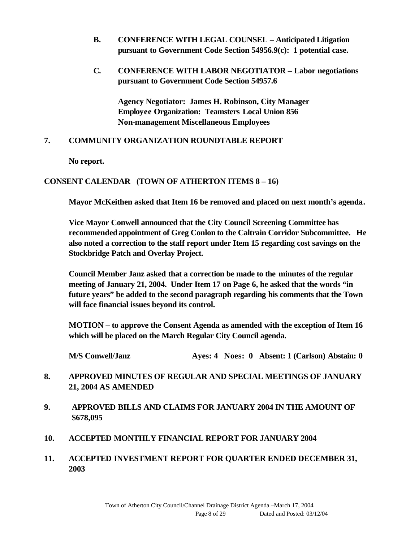- **B. CONFERENCE WITH LEGAL COUNSEL Anticipated Litigation pursuant to Government Code Section 54956.9(c): 1 potential case.**
- **C. CONFERENCE WITH LABOR NEGOTIATOR Labor negotiations pursuant to Government Code Section 54957.6**

**Agency Negotiator: James H. Robinson, City Manager Employee Organization: Teamsters Local Union 856 Non-management Miscellaneous Employees**

#### **7. COMMUNITY ORGANIZATION ROUNDTABLE REPORT**

**No report.**

### **CONSENT CALENDAR (TOWN OF ATHERTON ITEMS 8 – 16)**

**Mayor McKeithen asked that Item 16 be removed and placed on next month's agenda.**

**Vice Mayor Conwell announced that the City Council Screening Committee has recommended appointment of Greg Conlon to the Caltrain Corridor Subcommittee. He also noted a correction to the staff report under Item 15 regarding cost savings on the Stockbridge Patch and Overlay Project.** 

**Council Member Janz asked that a correction be made to the minutes of the regular meeting of January 21, 2004. Under Item 17 on Page 6, he asked that the words "in future years" be added to the second paragraph regarding his comments that the Town will face financial issues beyond its control.** 

**MOTION – to approve the Consent Agenda as amended with the exception of Item 16 which will be placed on the March Regular City Council agenda.**

**M/S Conwell/Janz Ayes: 4 Noes: 0 Absent: 1 (Carlson) Abstain: 0**

### **8. APPROVED MINUTES OF REGULAR AND SPECIAL MEETINGS OF JANUARY 21, 2004 AS AMENDED**

- **9. APPROVED BILLS AND CLAIMS FOR JANUARY 2004 IN THE AMOUNT OF \$678,095**
- **10. ACCEPTED MONTHLY FINANCIAL REPORT FOR JANUARY 2004**
- **11. ACCEPTED INVESTMENT REPORT FOR QUARTER ENDED DECEMBER 31, 2003**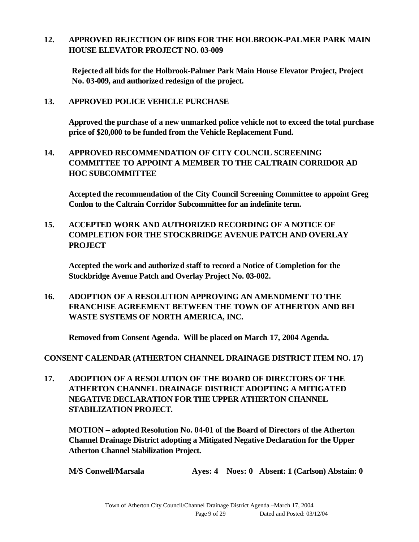### **12. APPROVED REJECTION OF BIDS FOR THE HOLBROOK-PALMER PARK MAIN HOUSE ELEVATOR PROJECT NO. 03-009**

**Rejected all bids for the Holbrook-Palmer Park Main House Elevator Project, Project No. 03-009, and authorized redesign of the project.**

**13. APPROVED POLICE VEHICLE PURCHASE**

**Approved the purchase of a new unmarked police vehicle not to exceed the total purchase price of \$20,000 to be funded from the Vehicle Replacement Fund.**

**14. APPROVED RECOMMENDATION OF CITY COUNCIL SCREENING COMMITTEE TO APPOINT A MEMBER TO THE CALTRAIN CORRIDOR AD HOC SUBCOMMITTEE**

**Accepted the recommendation of the City Council Screening Committee to appoint Greg Conlon to the Caltrain Corridor Subcommittee for an indefinite term.**

**15. ACCEPTED WORK AND AUTHORIZED RECORDING OF A NOTICE OF COMPLETION FOR THE STOCKBRIDGE AVENUE PATCH AND OVERLAY PROJECT**

**Accepted the work and authorized staff to record a Notice of Completion for the Stockbridge Avenue Patch and Overlay Project No. 03-002.**

**16. ADOPTION OF A RESOLUTION APPROVING AN AMENDMENT TO THE FRANCHISE AGREEMENT BETWEEN THE TOWN OF ATHERTON AND BFI WASTE SYSTEMS OF NORTH AMERICA, INC.**

**Removed from Consent Agenda. Will be placed on March 17, 2004 Agenda.**

**CONSENT CALENDAR (ATHERTON CHANNEL DRAINAGE DISTRICT ITEM NO. 17)**

**17. ADOPTION OF A RESOLUTION OF THE BOARD OF DIRECTORS OF THE ATHERTON CHANNEL DRAINAGE DISTRICT ADOPTING A MITIGATED NEGATIVE DECLARATION FOR THE UPPER ATHERTON CHANNEL STABILIZATION PROJECT.**

**MOTION – adopted Resolution No. 04-01 of the Board of Directors of the Atherton Channel Drainage District adopting a Mitigated Negative Declaration for the Upper Atherton Channel Stabilization Project.**

**M/S Conwell/Marsala Ayes: 4 Noes: 0 Absent: 1 (Carlson) Abstain: 0**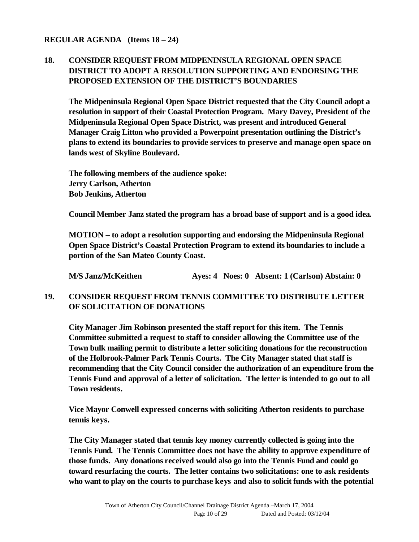#### **REGULAR AGENDA (Items 18 – 24)**

## **18. CONSIDER REQUEST FROM MIDPENINSULA REGIONAL OPEN SPACE DISTRICT TO ADOPT A RESOLUTION SUPPORTING AND ENDORSING THE PROPOSED EXTENSION OF THE DISTRICT'S BOUNDARIES**

**The Midpeninsula Regional Open Space District requested that the City Council adopt a resolution in support of their Coastal Protection Program. Mary Davey, President of the Midpeninsula Regional Open Space District, was present and introduced General Manager Craig Litton who provided a Powerpoint presentation outlining the District's plans to extend its boundaries to provide services to preserve and manage open space on lands west of Skyline Boulevard.** 

**The following members of the audience spoke: Jerry Carlson, Atherton Bob Jenkins, Atherton**

**Council Member Janz stated the program has a broad base of support and is a good idea.**

**MOTION – to adopt a resolution supporting and endorsing the Midpeninsula Regional Open Space District's Coastal Protection Program to extend its boundaries to include a portion of the San Mateo County Coast.**

**M/S Janz/McKeithen Ayes: 4 Noes: 0 Absent: 1 (Carlson) Abstain: 0**

### **19. CONSIDER REQUEST FROM TENNIS COMMITTEE TO DISTRIBUTE LETTER OF SOLICITATION OF DONATIONS**

**City Manager Jim Robinson presented the staff report for this item. The Tennis Committee submitted a request to staff to consider allowing the Committee use of the Town bulk mailing permit to distribute a letter soliciting donations for the reconstruction of the Holbrook-Palmer Park Tennis Courts. The City Manager stated that staff is recommending that the City Council consider the authorization of an expenditure from the Tennis Fund and approval of a letter of solicitation. The letter is intended to go out to all Town residents.**

**Vice Mayor Conwell expressed concerns with soliciting Atherton residents to purchase tennis keys.** 

**The City Manager stated that tennis key money currently collected is going into the Tennis Fund. The Tennis Committee does not have the ability to approve expenditure of those funds. Any donations received would also go into the Tennis Fund and could go toward resurfacing the courts. The letter contains two solicitations: one to ask residents who want to play on the courts to purchase keys and also to solicit funds with the potential**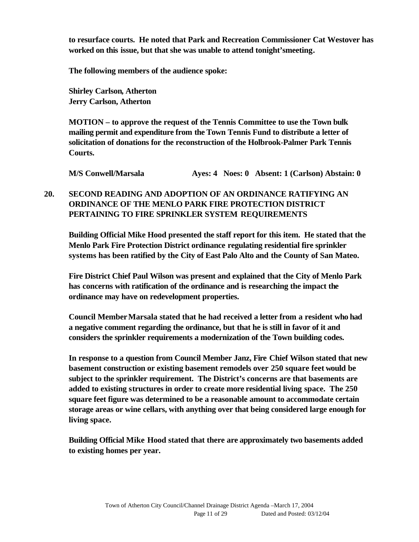**to resurface courts. He noted that Park and Recreation Commissioner Cat Westover has worked on this issue, but that she was unable to attend tonight'smeeting.**

**The following members of the audience spoke:**

**Shirley Carlson, Atherton Jerry Carlson, Atherton**

**MOTION – to approve the request of the Tennis Committee to use the Town bulk mailing permit and expenditure from the Town Tennis Fund to distribute a letter of solicitation of donations for the reconstruction of the Holbrook-Palmer Park Tennis Courts.**

**M/S Conwell/Marsala Ayes: 4 Noes: 0 Absent: 1 (Carlson) Abstain: 0**

## **20. SECOND READING AND ADOPTION OF AN ORDINANCE RATIFYING AN ORDINANCE OF THE MENLO PARK FIRE PROTECTION DISTRICT PERTAINING TO FIRE SPRINKLER SYSTEM REQUIREMENTS**

**Building Official Mike Hood presented the staff report for this item. He stated that the Menlo Park Fire Protection District ordinance regulating residential fire sprinkler systems has been ratified by the City of East Palo Alto and the County of San Mateo.**

**Fire District Chief Paul Wilson was present and explained that the City of Menlo Park has concerns with ratification of the ordinance and is researching the impact the ordinance may have on redevelopment properties.** 

**Council MemberMarsala stated that he had received a letter from a resident who had a negative comment regarding the ordinance, but that he is still in favor of it and considers the sprinkler requirements a modernization of the Town building codes.**

**In response to a question from Council Member Janz, Fire Chief Wilson stated that new basement construction or existing basement remodels over 250 square feet would be subject to the sprinkler requirement. The District's concerns are that basements are added to existing structures in order to create more residential living space. The 250 square feet figure was determined to be a reasonable amount to accommodate certain storage areas or wine cellars, with anything over that being considered large enough for living space.**

**Building Official Mike Hood stated that there are approximately two basements added to existing homes per year.**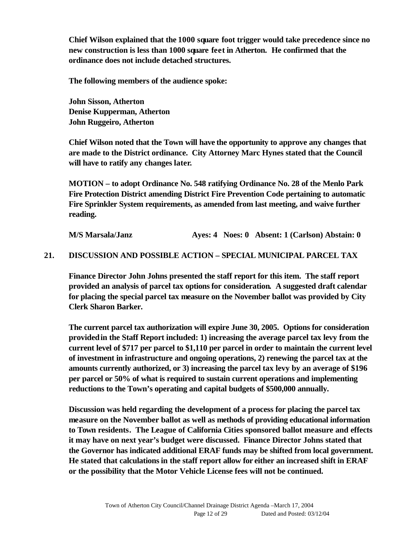**Chief Wilson explained that the 1000 square foot trigger would take precedence since no new construction is less than 1000 square feet in Atherton. He confirmed that the ordinance does not include detached structures.**

**The following members of the audience spoke:**

**John Sisson, Atherton Denise Kupperman, Atherton John Ruggeiro, Atherton**

**Chief Wilson noted that the Town will have the opportunity to approve any changes that are made to the District ordinance. City Attorney Marc Hynes stated that the Council will have to ratify any changes later.** 

**MOTION – to adopt Ordinance No. 548 ratifying Ordinance No. 28 of the Menlo Park Fire Protection District amending District Fire Prevention Code pertaining to automatic Fire Sprinkler System requirements, as amended from last meeting, and waive further reading.**

**M/S Marsala/Janz Ayes: 4 Noes: 0 Absent: 1 (Carlson) Abstain: 0**

#### **21. DISCUSSION AND POSSIBLE ACTION – SPECIAL MUNICIPAL PARCEL TAX**

**Finance Director John Johns presented the staff report for this item. The staff report provided an analysis of parcel tax options for consideration. A suggested draft calendar for placing the special parcel tax measure on the November ballot was provided by City Clerk Sharon Barker.** 

**The current parcel tax authorization will expire June 30, 2005. Options for consideration provided in the Staff Report included: 1) increasing the average parcel tax levy from the current level of \$717 per parcel to \$1,110 per parcel in order to maintain the current level of investment in infrastructure and ongoing operations, 2) renewing the parcel tax at the amounts currently authorized, or 3) increasing the parcel tax levy by an average of \$196 per parcel or 50% of what is required to sustain current operations and implementing reductions to the Town's operating and capital budgets of \$500,000 annually.** 

**Discussion was held regarding the development of a process for placing the parcel tax measure on the November ballot as well as methods of providing educational information to Town residents. The League of California Cities sponsored ballot measure and effects it may have on next year's budget were discussed. Finance Director Johns stated that the Governor has indicated additional ERAF funds may be shifted from local government. He stated that calculations in the staff report allow for either an increased shift in ERAF or the possibility that the Motor Vehicle License fees will not be continued.**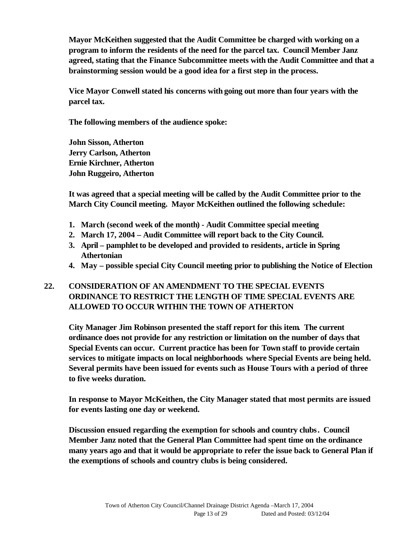**Mayor McKeithen suggested that the Audit Committee be charged with working on a program to inform the residents of the need for the parcel tax. Council Member Janz agreed, stating that the Finance Subcommittee meets with the Audit Committee and that a brainstorming session would be a good idea for a first step in the process.**

**Vice Mayor Conwell stated his concerns with going out more than four years with the parcel tax.**

**The following members of the audience spoke:**

**John Sisson, Atherton Jerry Carlson, Atherton Ernie Kirchner, Atherton John Ruggeiro, Atherton**

**It was agreed that a special meeting will be called by the Audit Committee prior to the March City Council meeting. Mayor McKeithen outlined the following schedule:**

- **1. March (second week of the month) Audit Committee special meeting**
- **2. March 17, 2004 Audit Committee will report back to the City Council.**
- **3. April pamphlet to be developed and provided to residents, article in Spring Athertonian**
- **4. May – possible special City Council meeting prior to publishing the Notice of Election**

## **22. CONSIDERATION OF AN AMENDMENT TO THE SPECIAL EVENTS ORDINANCE TO RESTRICT THE LENGTH OF TIME SPECIAL EVENTS ARE ALLOWED TO OCCUR WITHIN THE TOWN OF ATHERTON**

**City Manager Jim Robinson presented the staff report for this item. The current ordinance does not provide for any restriction or limitation on the number of days that Special Events can occur. Current practice has been for Town staff to provide certain services to mitigate impacts on local neighborhoods where Special Events are being held. Several permits have been issued for events such as House Tours with a period of three to five weeks duration.**

**In response to Mayor McKeithen, the City Manager stated that most permits are issued for events lasting one day or weekend.**

**Discussion ensued regarding the exemption for schools and country clubs. Council Member Janz noted that the General Plan Committee had spent time on the ordinance many years ago and that it would be appropriate to refer the issue back to General Plan if the exemptions of schools and country clubs is being considered.**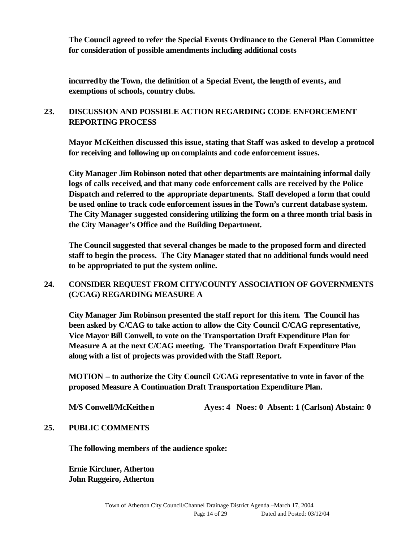**The Council agreed to refer the Special Events Ordinance to the General Plan Committee for consideration of possible amendments including additional costs**

**incurred by the Town, the definition of a Special Event, the length of events, and exemptions of schools, country clubs.** 

## **23. DISCUSSION AND POSSIBLE ACTION REGARDING CODE ENFORCEMENT REPORTING PROCESS**

**Mayor McKeithen discussed this issue, stating that Staff was asked to develop a protocol for receiving and following up on complaints and code enforcement issues.** 

**City Manager Jim Robinson noted that other departments are maintaining informal daily logs of calls received, and that many code enforcement calls are received by the Police Dispatch and referred to the appropriate departments. Staff developed a form that could be used online to track code enforcement issues in the Town's current database system. The City Manager suggested considering utilizing the form on a three month trial basis in the City Manager's Office and the Building Department.** 

**The Council suggested that several changes be made to the proposed form and directed staff to begin the process. The City Manager stated that no additional funds would need to be appropriated to put the system online.**

## **24. CONSIDER REQUEST FROM CITY/COUNTY ASSOCIATION OF GOVERNMENTS (C/CAG) REGARDING MEASURE A**

**City Manager Jim Robinson presented the staff report for this item. The Council has been asked by C/CAG to take action to allow the City Council C/CAG representative, Vice Mayor Bill Conwell, to vote on the Transportation Draft Expenditure Plan for Measure A at the next C/CAG meeting. The Transportation Draft Expenditure Plan along with a list of projects was provided with the Staff Report.**

**MOTION – to authorize the City Council C/CAG representative to vote in favor of the proposed Measure A Continuation Draft Transportation Expenditure Plan.**

**M/S Conwell/McKeithen Ayes: 4 Noes: 0 Absent: 1 (Carlson) Abstain: 0**

#### **25. PUBLIC COMMENTS**

**The following members of the audience spoke:**

**Ernie Kirchner, Atherton John Ruggeiro, Atherton**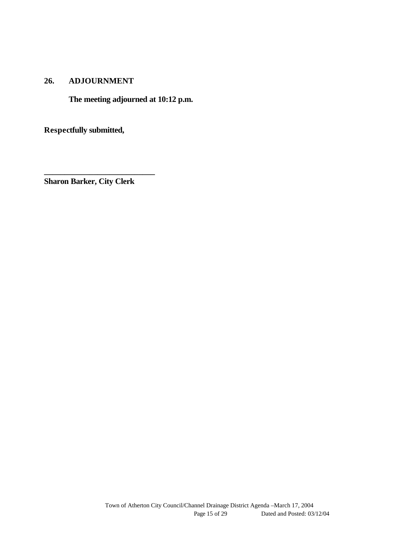#### **26. ADJOURNMENT**

**The meeting adjourned at 10:12 p.m.**

**Respectfully submitted,**

**Sharon Barker, City Clerk**

**\_\_\_\_\_\_\_\_\_\_\_\_\_\_\_\_\_\_\_\_\_\_\_\_\_\_\_**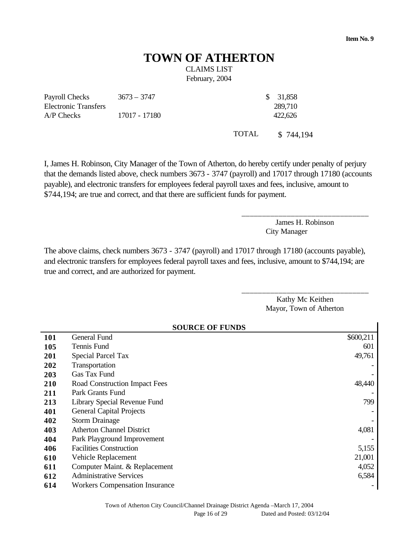# **TOWN OF ATHERTON**  CLAIMS LIST

February, 2004

Payroll Checks Electronic Transfers  $3673 - 3747$  \$ 31,858 A/P Checks 17017 - 17180 422,626

TOTAL \$ 744,194

289,710

I, James H. Robinson, City Manager of the Town of Atherton, do hereby certify under penalty of perjury that the demands listed above, check numbers 3673 - 3747 (payroll) and 17017 through 17180 (accounts payable), and electronic transfers for employees federal payroll taxes and fees, inclusive, amount to \$744,194; are true and correct, and that there are sufficient funds for payment.

> James H. Robinson City Manager

\_\_\_\_\_\_\_\_\_\_\_\_\_\_\_\_\_\_\_\_\_\_\_\_\_\_\_\_\_\_\_

The above claims, check numbers 3673 - 3747 (payroll) and 17017 through 17180 (accounts payable), and electronic transfers for employees federal payroll taxes and fees, inclusive, amount to \$744,194; are true and correct, and are authorized for payment.

> Kathy Mc Keithen Mayor, Town of Atherton

\_\_\_\_\_\_\_\_\_\_\_\_\_\_\_\_\_\_\_\_\_\_\_\_\_\_\_\_\_\_\_

|     | <b>SOURCE OF FUNDS</b>                |           |  |
|-----|---------------------------------------|-----------|--|
| 101 | General Fund                          | \$600,211 |  |
| 105 | Tennis Fund                           | 601       |  |
| 201 | <b>Special Parcel Tax</b>             | 49,761    |  |
| 202 | Transportation                        |           |  |
| 203 | Gas Tax Fund                          |           |  |
| 210 | Road Construction Impact Fees         | 48,440    |  |
| 211 | Park Grants Fund                      |           |  |
| 213 | Library Special Revenue Fund          | 799       |  |
| 401 | <b>General Capital Projects</b>       |           |  |
| 402 | <b>Storm Drainage</b>                 |           |  |
| 403 | <b>Atherton Channel District</b>      | 4,081     |  |
| 404 | Park Playground Improvement           |           |  |
| 406 | <b>Facilities Construction</b>        | 5,155     |  |
| 610 | Vehicle Replacement                   | 21,001    |  |
| 611 | Computer Maint. & Replacement         | 4,052     |  |
| 612 | <b>Administrative Services</b>        | 6,584     |  |
| 614 | <b>Workers Compensation Insurance</b> |           |  |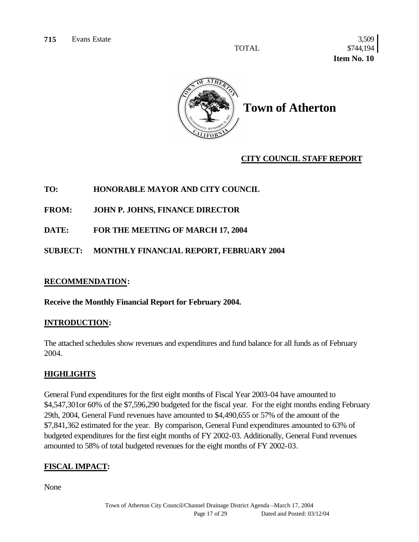TOTAL \$744,194  **Item No. 10** 



**Town of Atherton**

### **CITY COUNCIL STAFF REPORT**

#### **TO: HONORABLE MAYOR AND CITY COUNCIL**

**FROM: JOHN P. JOHNS, FINANCE DIRECTOR**

**DATE: FOR THE MEETING OF MARCH 17, 2004**

**SUBJECT: MONTHLY FINANCIAL REPORT, FEBRUARY 2004**

#### **RECOMMENDATION:**

**Receive the Monthly Financial Report for February 2004.**

#### **INTRODUCTION:**

The attached schedules show revenues and expenditures and fund balance for all funds as of February 2004.

#### **HIGHLIGHTS**

General Fund expenditures for the first eight months of Fiscal Year 2003-04 have amounted to \$4,547,301or 60% of the \$7,596,290 budgeted for the fiscal year. For the eight months ending February 29th, 2004, General Fund revenues have amounted to \$4,490,655 or 57% of the amount of the \$7,841,362 estimated for the year. By comparison, General Fund expenditures amounted to 63% of budgeted expenditures for the first eight months of FY 2002-03. Additionally, General Fund revenues amounted to 58% of total budgeted revenues for the eight months of FY 2002-03.

## **FISCAL IMPACT:**

None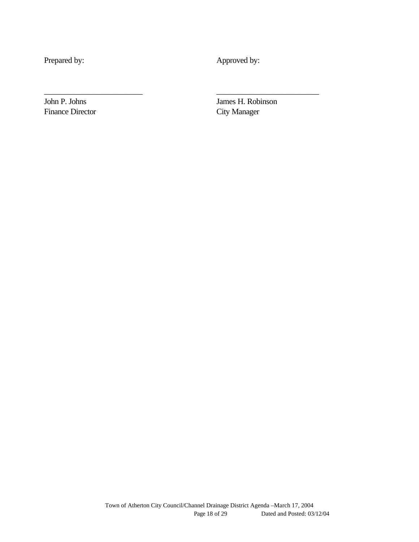Prepared by: Approved by:

\_\_\_\_\_\_\_\_\_\_\_\_\_\_\_\_\_\_\_\_\_\_\_\_ \_\_\_\_\_\_\_\_\_\_\_\_\_\_\_\_\_\_\_\_\_\_\_\_\_

Finance Director City Manager

John P. Johns James H. Robinson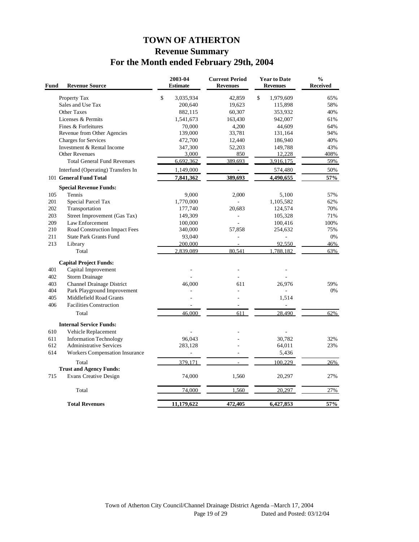## **TOWN OF ATHERTON Revenue Summary For the Month ended February 29th, 2004**

| Fund       | <b>Revenue Source</b>                                  | 2003-04<br><b>Estimate</b> | <b>Current Period</b><br><b>Revenues</b> | <b>Year to Date</b><br><b>Revenues</b> | $\frac{0}{0}$<br><b>Received</b> |
|------------|--------------------------------------------------------|----------------------------|------------------------------------------|----------------------------------------|----------------------------------|
|            | Property Tax                                           | \$<br>3,035,934            | 42,859                                   | \$<br>1,979,609                        | 65%                              |
|            | Sales and Use Tax                                      | 200,640                    | 19,623                                   | 115,898                                | 58%                              |
|            | <b>Other Taxes</b>                                     | 882,115                    | 60,307                                   | 353,932                                | 40%                              |
|            | Licenses & Permits                                     | 1,541,673                  | 163,430                                  | 942,007                                | 61%                              |
|            | Fines & Forfeitures                                    | 70,000                     | 4,200                                    | 44,609                                 | 64%                              |
|            | Revenue from Other Agencies                            | 139,000                    | 33,781                                   | 131,164                                | 94%                              |
|            | <b>Charges for Services</b>                            | 472,700                    | 12,440                                   | 186,940                                | 40%                              |
|            | Investment & Rental Income                             | 347,300                    | 52,203                                   | 149,788                                | 43%                              |
|            | <b>Other Revenues</b>                                  | 3,000                      | 850                                      | 12,228                                 | 408%                             |
|            | <b>Total General Fund Revenues</b>                     | 6,692,362                  | 389,693                                  | 3,916,175                              | 59%                              |
|            | Interfund (Operating) Transfers In                     | 1,149,000                  | $\overline{a}$                           | 574,480                                | 50%                              |
|            | 101 General Fund Total                                 | 7,841,362                  | 389,693                                  | 4,490,655                              | 57%                              |
|            | <b>Special Revenue Funds:</b>                          |                            |                                          |                                        |                                  |
| 105        | Tennis                                                 | 9,000                      | 2,000                                    | 5,100                                  | 57%                              |
| 201        | Special Parcel Tax                                     | 1,770,000                  |                                          | 1,105,582                              | 62%                              |
| 202        | Transportation                                         | 177,740                    | 20,683                                   | 124,574                                | 70%                              |
| 203        | Street Improvement (Gas Tax)                           | 149,309                    | $\overline{\phantom{a}}$                 | 105,328                                | 71%                              |
| 209        | Law Enforcement                                        | 100,000                    | ÷.                                       | 100,416                                | 100%                             |
| 210        | Road Construction Impact Fees                          | 340,000                    | 57,858                                   | 254,632                                | 75%                              |
| 211        | <b>State Park Grants Fund</b>                          | 93,040                     | L,                                       |                                        | 0%                               |
| 213        | Library<br>Total                                       | 200,000<br>2,839,089       | 80.541                                   | 92,550<br>1,788,182                    | 46%<br>63%                       |
|            |                                                        |                            |                                          |                                        |                                  |
|            | <b>Capital Project Funds:</b>                          |                            |                                          |                                        |                                  |
| 401        | Capital Improvement                                    |                            |                                          |                                        |                                  |
| 402        | <b>Storm Drainage</b>                                  |                            |                                          |                                        |                                  |
| 403        | <b>Channel Drainage District</b>                       | 46,000                     | 611                                      | 26,976                                 | 59%                              |
| 404<br>405 | Park Playground Improvement<br>Middlefield Road Grants |                            | ÷.                                       | L.                                     | 0%                               |
| 406        | <b>Facilities Construction</b>                         |                            | $\overline{\phantom{a}}$                 | 1,514                                  |                                  |
|            | Total                                                  | 46.000                     | 611                                      | 28.490                                 | 62%                              |
|            |                                                        |                            |                                          |                                        |                                  |
|            | <b>Internal Service Funds:</b>                         |                            |                                          |                                        |                                  |
| 610        | Vehicle Replacement                                    |                            |                                          |                                        |                                  |
| 611        | <b>Information Technology</b>                          | 96,043                     |                                          | 30,782                                 | 32%                              |
| 612        | <b>Administrative Services</b>                         | 283,128                    |                                          | 64,011                                 | 23%                              |
| 614        | <b>Workers Compensation Insurance</b>                  | -                          | ÷.                                       | 5,436                                  |                                  |
|            | Total                                                  | 379,171                    |                                          | 100,229                                | 26%                              |
|            | <b>Trust and Agency Funds:</b>                         |                            |                                          |                                        |                                  |
| 715        | <b>Evans Creative Design</b>                           | 74,000                     | 1,560                                    | 20,297                                 | 27%                              |
|            | Total                                                  | 74,000                     | 1,560                                    | 20,297                                 | 27%                              |
|            | <b>Total Revenues</b>                                  | 11,179,622                 | 472,405                                  | 6,427,853                              | 57%                              |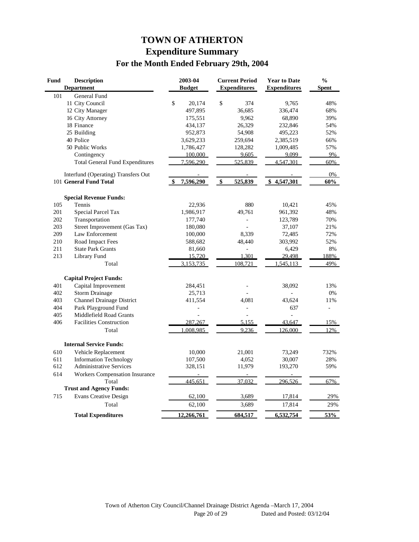## **TOWN OF ATHERTON Expenditure Summary For the Month Ended February 29th, 2004**

| <b>Fund</b> | <b>Description</b>                     | 2003-04       | <b>Current Period</b> | <b>Year to Date</b> | $\frac{0}{0}$  |
|-------------|----------------------------------------|---------------|-----------------------|---------------------|----------------|
|             | <b>Department</b>                      | <b>Budget</b> | <b>Expenditures</b>   | <b>Expenditures</b> | <b>Spent</b>   |
| 101         | <b>General Fund</b>                    |               |                       |                     |                |
|             | 11 City Council                        | \$<br>20,174  | \$<br>374             | 9,765               | 48%            |
|             | 12 City Manager                        | 497,895       | 36,685                | 336,474             | 68%            |
|             | 16 City Attorney                       | 175,551       | 9,962                 | 68,890              | 39%            |
|             | 18 Finance                             | 434,137       | 26,329                | 232,846             | 54%            |
|             | 25 Building                            | 952,873       | 54,908                | 495,223             | 52%            |
|             | 40 Police                              | 3,629,233     | 259,694               | 2,385,519           | 66%            |
|             | 50 Public Works                        | 1,786,427     | 128,282               | 1,009,485           | 57%            |
|             | Contingency                            | 100,000       | 9,605                 | 9,099               | 9%             |
|             | <b>Total General Fund Expenditures</b> | 7.596.290     | 525,839               | 4,547,301           | 60%            |
|             | Interfund (Operating) Transfers Out    |               |                       |                     | 0%             |
|             | 101 General Fund Total                 | 7,596,290     | 525,839<br>\$         | \$4,547,301         | 60%            |
|             | <b>Special Revenue Funds:</b>          |               |                       |                     |                |
| 105         | Tennis                                 | 22,936        | 880                   | 10,421              | 45%            |
| 201         | Special Parcel Tax                     | 1,986,917     | 49,761                | 961,392             | 48%            |
| 202         | Transportation                         | 177,740       |                       | 123,789             | 70%            |
| 203         | Street Improvement (Gas Tax)           | 180,080       |                       | 37,107              | 21%            |
| 209         | Law Enforcement                        | 100,000       | 8,339                 | 72,485              | 72%            |
| 210         | Road Impact Fees                       | 588,682       | 48,440                | 303,992             | 52%            |
| 211         | <b>State Park Grants</b>               | 81,660        |                       | 6,429               | 8%             |
| 213         | Library Fund                           | 15,720        | 1,301                 | 29,498              | 188%           |
|             | Total                                  | 3,153,735     | 108.721               | 545,113             | 49%            |
|             | <b>Capital Project Funds:</b>          |               |                       |                     |                |
| 401         | Capital Improvement                    | 284,451       |                       | 38,092              | 13%            |
| 402         | <b>Storm Drainage</b>                  | 25,713        |                       |                     | 0%             |
| 403         | Channel Drainage District              | 411,554       | 4,081                 | 43,624              | 11%            |
| 404         | Park Playground Fund                   | ÷,            | $\overline{a}$        | 637                 | $\overline{a}$ |
| 405         | Middlefield Road Grants                | L             |                       | $\overline{a}$      |                |
| 406         | <b>Facilities Construction</b>         | 287,267       | 5,155                 | 43,647              | 15%            |
|             | Total                                  | 1,008,985     | 9,236                 | 126,000             | 12%            |
|             | <b>Internal Service Funds:</b>         |               |                       |                     |                |
| 610         | Vehicle Replacement                    | 10,000        | 21,001                | 73,249              | 732%           |
| 611         | <b>Information Technology</b>          | 107,500       | 4,052                 | 30,007              | 28%            |
| 612         | <b>Administrative Services</b>         | 328,151       | 11,979                | 193,270             | 59%            |
| 614         | <b>Workers Compensation Insurance</b>  |               |                       |                     |                |
|             | Total                                  | 445,651       | 37,032                | 296,526             | 67%            |
|             | <b>Trust and Agency Funds:</b>         |               |                       |                     |                |
| 715         | <b>Evans Creative Design</b>           | 62,100        | 3,689                 | 17,814              | 29%            |
|             | Total                                  | 62,100        | 3,689                 | 17,814              | 29%            |
|             | <b>Total Expenditures</b>              | 12,266,761    | 684,517               | 6,532,754           | 53%            |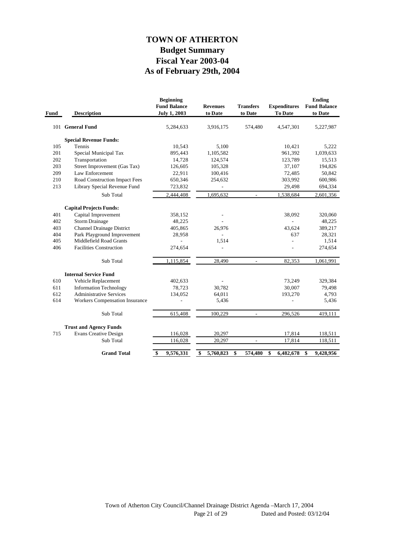## **As of February 29th, 2004 Fiscal Year 2003-04 Budget Summary TOWN OF ATHERTON**

| Fund | <b>Description</b>                    | <b>Beginning</b><br><b>Fund Balance</b><br><b>July 1, 2003</b> | <b>Revenues</b><br>to Date | <b>Transfers</b><br>to Date | <b>Expenditures</b><br>To Date | <b>Ending</b><br><b>Fund Balance</b><br>to Date |
|------|---------------------------------------|----------------------------------------------------------------|----------------------------|-----------------------------|--------------------------------|-------------------------------------------------|
|      | 101 General Fund                      | 5,284,633                                                      | 3,916,175                  | 574,480                     | 4,547,301                      | 5,227,987                                       |
|      | <b>Special Revenue Funds:</b>         |                                                                |                            |                             |                                |                                                 |
| 105  | Tennis                                | 10,543                                                         | 5,100                      |                             | 10,421                         | 5,222                                           |
| 201  | Special Municipal Tax                 | 895,443                                                        | 1,105,582                  |                             | 961,392                        | 1,039,633                                       |
| 202  | Transportation                        | 14,728                                                         | 124,574                    |                             | 123,789                        | 15,513                                          |
| 203  | Street Improvement (Gas Tax)          | 126,605                                                        | 105,328                    |                             | 37,107                         | 194,826                                         |
| 209  | Law Enforcement                       | 22,911                                                         | 100,416                    |                             | 72,485                         | 50,842                                          |
| 210  | Road Construction Impact Fees         | 650,346                                                        | 254,632                    |                             | 303,992                        | 600,986                                         |
| 213  | Library Special Revenue Fund          | 723,832                                                        |                            |                             | 29,498                         | 694,334                                         |
|      | Sub Total                             | 2,444,408                                                      | 1,695,632                  | $\overline{\phantom{a}}$    | 1,538,684                      | 2,601,356                                       |
|      | <b>Capital Projects Funds:</b>        |                                                                |                            |                             |                                |                                                 |
| 401  | Capital Improvement                   | 358,152                                                        |                            |                             | 38,092                         | 320,060                                         |
| 402  | <b>Storm Drainage</b>                 | 48,225                                                         |                            |                             |                                | 48,225                                          |
| 403  | <b>Channel Drainage District</b>      | 405,865                                                        | 26,976                     |                             | 43,624                         | 389,217                                         |
| 404  | Park Playground Improvement           | 28,958                                                         |                            |                             | 637                            | 28,321                                          |
| 405  | Middlefield Road Grants               |                                                                | 1,514                      |                             | $\overline{\phantom{a}}$       | 1,514                                           |
| 406  | <b>Facilities Construction</b>        | 274,654                                                        |                            |                             |                                | 274,654                                         |
|      | Sub Total                             | 1,115,854                                                      | 28,490                     | $\frac{1}{2}$               | 82,353                         | 1,061,991                                       |
|      | <b>Internal Service Fund</b>          |                                                                |                            |                             |                                |                                                 |
| 610  | Vehicle Replacement                   | 402,633                                                        |                            |                             | 73,249                         | 329,384                                         |
| 611  | <b>Information Technology</b>         | 78,723                                                         | 30,782                     |                             | 30,007                         | 79,498                                          |
| 612  | <b>Administrative Services</b>        | 134,052                                                        | 64,011                     |                             | 193,270                        | 4,793                                           |
| 614  | <b>Workers Compensation Insurance</b> |                                                                | 5,436                      |                             | $\overline{a}$                 | 5,436                                           |
|      | Sub Total                             | 615,408                                                        | 100,229                    | $\frac{1}{2}$               | 296,526                        | 419,111                                         |
|      | <b>Trust and Agency Funds</b>         |                                                                |                            |                             |                                |                                                 |
| 715  | <b>Evans Creative Design</b>          | 116,028                                                        | 20,297                     |                             | 17,814                         | 118,511                                         |
|      | Sub Total                             | 116,028                                                        | 20,297                     | $\overline{a}$              | 17,814                         | 118,511                                         |
|      | <b>Grand Total</b>                    | $\mathbf{\$}$<br>9,576,331                                     | \$<br>5,760,823            | \$<br>574,480               | \$<br>6,482,678                | \$<br>9,428,956                                 |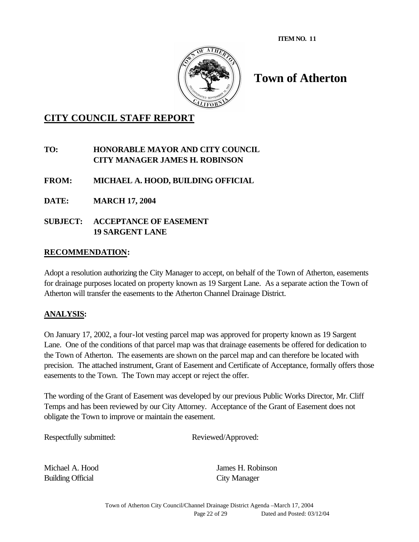

# **Town of Atherton**

## **CITY COUNCIL STAFF REPORT**

### **TO: HONORABLE MAYOR AND CITY COUNCIL CITY MANAGER JAMES H. ROBINSON**

- **FROM: MICHAEL A. HOOD, BUILDING OFFICIAL**
- **DATE: MARCH 17, 2004**
- **SUBJECT: ACCEPTANCE OF EASEMENT 19 SARGENT LANE**

#### **RECOMMENDATION:**

Adopt a resolution authorizing the City Manager to accept, on behalf of the Town of Atherton, easements for drainage purposes located on property known as 19 Sargent Lane. As a separate action the Town of Atherton will transfer the easements to the Atherton Channel Drainage District.

#### **ANALYSIS:**

On January 17, 2002, a four-lot vesting parcel map was approved for property known as 19 Sargent Lane. One of the conditions of that parcel map was that drainage easements be offered for dedication to the Town of Atherton. The easements are shown on the parcel map and can therefore be located with precision. The attached instrument, Grant of Easement and Certificate of Acceptance, formally offers those easements to the Town. The Town may accept or reject the offer.

The wording of the Grant of Easement was developed by our previous Public Works Director, Mr. Cliff Temps and has been reviewed by our City Attorney. Acceptance of the Grant of Easement does not obligate the Town to improve or maintain the easement.

Respectfully submitted: Reviewed/Approved:

Building Official City Manager

Michael A. Hood James H. Robinson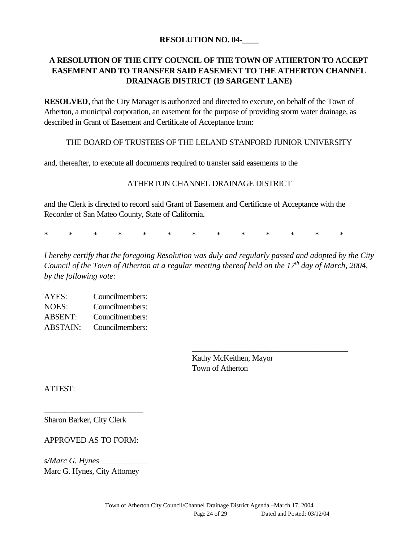#### **RESOLUTION NO. 04-\_\_\_\_**

## **A RESOLUTION OF THE CITY COUNCIL OF THE TOWN OF ATHERTON TO ACCEPT EASEMENT AND TO TRANSFER SAID EASEMENT TO THE ATHERTON CHANNEL DRAINAGE DISTRICT (19 SARGENT LANE)**

**RESOLVED**, that the City Manager is authorized and directed to execute, on behalf of the Town of Atherton, a municipal corporation, an easement for the purpose of providing storm water drainage, as described in Grant of Easement and Certificate of Acceptance from:

#### THE BOARD OF TRUSTEES OF THE LELAND STANFORD JUNIOR UNIVERSITY

and, thereafter, to execute all documents required to transfer said easements to the

#### ATHERTON CHANNEL DRAINAGE DISTRICT

and the Clerk is directed to record said Grant of Easement and Certificate of Acceptance with the Recorder of San Mateo County, State of California.

\* \* \* \* \* \* \* \* \* \* \* \* \*

*I hereby certify that the foregoing Resolution was duly and regularly passed and adopted by the City Council of the Town of Atherton at a regular meeting thereof held on the 17th day of March, 2004, by the following vote:*

| AYES:           | Councilmembers: |
|-----------------|-----------------|
| NOES:           | Councilmembers: |
| <b>ABSENT:</b>  | Councilmembers: |
| <b>ABSTAIN:</b> | Councilmembers: |

Kathy McKeithen, Mayor Town of Atherton

\_\_\_\_\_\_\_\_\_\_\_\_\_\_\_\_\_\_\_\_\_\_\_\_\_\_\_\_\_\_\_\_\_\_\_\_\_\_

ATTEST:

Sharon Barker, City Clerk

#### APPROVED AS TO FORM:

\_\_\_\_\_\_\_\_\_\_\_\_\_\_\_\_\_\_\_\_\_\_\_\_

*s/Marc G. Hynes*\_\_\_\_\_\_\_\_\_\_\_\_ Marc G. Hynes, City Attorney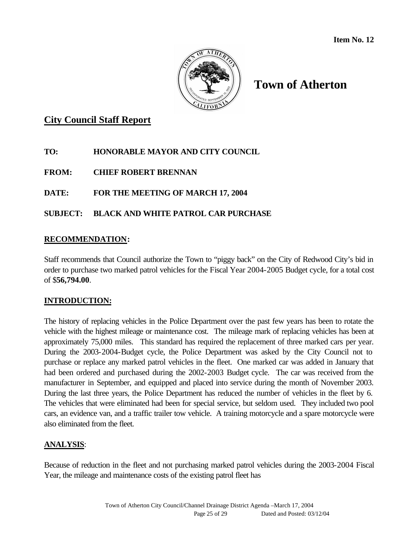

## **Town of Atherton**

## **City Council Staff Report**

## **TO: HONORABLE MAYOR AND CITY COUNCIL**

**FROM: CHIEF ROBERT BRENNAN**

## **DATE: FOR THE MEETING OF MARCH 17, 2004**

## **SUBJECT: BLACK AND WHITE PATROL CAR PURCHASE**

### **RECOMMENDATION:**

Staff recommends that Council authorize the Town to "piggy back" on the City of Redwood City's bid in order to purchase two marked patrol vehicles for the Fiscal Year 2004-2005 Budget cycle, for a total cost of \$**56,794.00**.

## **INTRODUCTION:**

The history of replacing vehicles in the Police Department over the past few years has been to rotate the vehicle with the highest mileage or maintenance cost. The mileage mark of replacing vehicles has been at approximately 75,000 miles. This standard has required the replacement of three marked cars per year. During the 2003-2004-Budget cycle, the Police Department was asked by the City Council not to purchase or replace any marked patrol vehicles in the fleet. One marked car was added in January that had been ordered and purchased during the 2002-2003 Budget cycle. The car was received from the manufacturer in September, and equipped and placed into service during the month of November 2003. During the last three years, the Police Department has reduced the number of vehicles in the fleet by 6. The vehicles that were eliminated had been for special service, but seldom used. They included two pool cars, an evidence van, and a traffic trailer tow vehicle. A training motorcycle and a spare motorcycle were also eliminated from the fleet.

## **ANALYSIS**:

Because of reduction in the fleet and not purchasing marked patrol vehicles during the 2003-2004 Fiscal Year, the mileage and maintenance costs of the existing patrol fleet has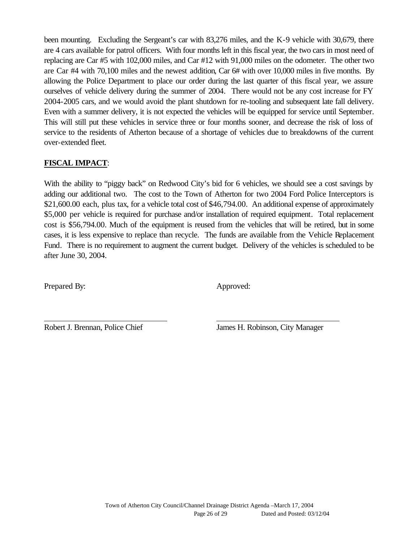been mounting. Excluding the Sergeant's car with 83,276 miles, and the K-9 vehicle with 30,679, there are 4 cars available for patrol officers. With four months left in this fiscal year, the two cars in most need of replacing are Car #5 with 102,000 miles, and Car #12 with 91,000 miles on the odometer. The other two are Car #4 with 70,100 miles and the newest addition, Car 6# with over 10,000 miles in five months. By allowing the Police Department to place our order during the last quarter of this fiscal year, we assure ourselves of vehicle delivery during the summer of 2004. There would not be any cost increase for FY 2004-2005 cars, and we would avoid the plant shutdown for re-tooling and subsequent late fall delivery. Even with a summer delivery, it is not expected the vehicles will be equipped for service until September. This will still put these vehicles in service three or four months sooner, and decrease the risk of loss of service to the residents of Atherton because of a shortage of vehicles due to breakdowns of the current over-extended fleet.

## **FISCAL IMPACT**:

With the ability to "piggy back" on Redwood City's bid for 6 vehicles, we should see a cost savings by adding our additional two. The cost to the Town of Atherton for two 2004 Ford Police Interceptors is \$21,600.00 each, plus tax, for a vehicle total cost of \$46,794.00. An additional expense of approximately \$5,000 per vehicle is required for purchase and/or installation of required equipment. Total replacement cost is \$56,794.00. Much of the equipment is reused from the vehicles that will be retired, but in some cases, it is less expensive to replace than recycle. The funds are available from the Vehicle Replacement Fund. There is no requirement to augment the current budget. Delivery of the vehicles is scheduled to be after June 30, 2004.

Prepared By: Approved:

Robert J. Brennan, Police Chief James H. Robinson, City Manager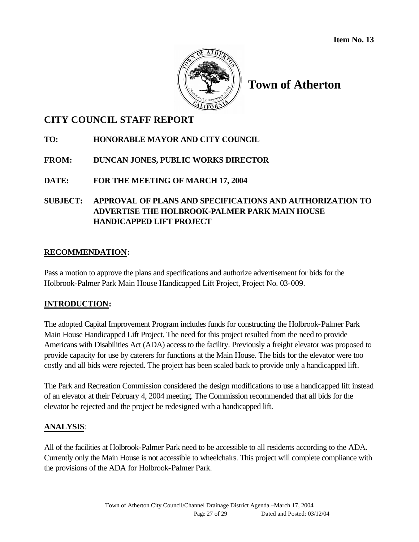

## **Town of Atherton**

## **CITY COUNCIL STAFF REPORT**

## **TO: HONORABLE MAYOR AND CITY COUNCIL**

## **FROM: DUNCAN JONES, PUBLIC WORKS DIRECTOR**

## **DATE: FOR THE MEETING OF MARCH 17, 2004**

## **SUBJECT: APPROVAL OF PLANS AND SPECIFICATIONS AND AUTHORIZATION TO ADVERTISE THE HOLBROOK-PALMER PARK MAIN HOUSE HANDICAPPED LIFT PROJECT**

### **RECOMMENDATION:**

Pass a motion to approve the plans and specifications and authorize advertisement for bids for the Holbrook-Palmer Park Main House Handicapped Lift Project, Project No. 03-009.

#### **INTRODUCTION:**

The adopted Capital Improvement Program includes funds for constructing the Holbrook-Palmer Park Main House Handicapped Lift Project. The need for this project resulted from the need to provide Americans with Disabilities Act (ADA) access to the facility. Previously a freight elevator was proposed to provide capacity for use by caterers for functions at the Main House. The bids for the elevator were too costly and all bids were rejected. The project has been scaled back to provide only a handicapped lift.

The Park and Recreation Commission considered the design modifications to use a handicapped lift instead of an elevator at their February 4, 2004 meeting. The Commission recommended that all bids for the elevator be rejected and the project be redesigned with a handicapped lift.

## **ANALYSIS**:

All of the facilities at Holbrook-Palmer Park need to be accessible to all residents according to the ADA. Currently only the Main House is not accessible to wheelchairs. This project will complete compliance with the provisions of the ADA for Holbrook-Palmer Park.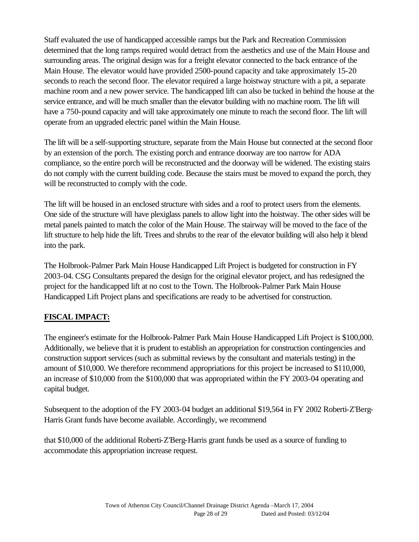Staff evaluated the use of handicapped accessible ramps but the Park and Recreation Commission determined that the long ramps required would detract from the aesthetics and use of the Main House and surrounding areas. The original design was for a freight elevator connected to the back entrance of the Main House. The elevator would have provided 2500-pound capacity and take approximately 15-20 seconds to reach the second floor. The elevator required a large hoistway structure with a pit, a separate machine room and a new power service. The handicapped lift can also be tucked in behind the house at the service entrance, and will be much smaller than the elevator building with no machine room. The lift will have a 750-pound capacity and will take approximately one minute to reach the second floor. The lift will operate from an upgraded electric panel within the Main House.

The lift will be a self-supporting structure, separate from the Main House but connected at the second floor by an extension of the porch. The existing porch and entrance doorway are too narrow for ADA compliance, so the entire porch will be reconstructed and the doorway will be widened. The existing stairs do not comply with the current building code. Because the stairs must be moved to expand the porch, they will be reconstructed to comply with the code.

The lift will be housed in an enclosed structure with sides and a roof to protect users from the elements. One side of the structure will have plexiglass panels to allow light into the hoistway. The other sides will be metal panels painted to match the color of the Main House. The stairway will be moved to the face of the lift structure to help hide the lift. Trees and shrubs to the rear of the elevator building will also help it blend into the park.

The Holbrook-Palmer Park Main House Handicapped Lift Project is budgeted for construction in FY 2003-04. CSG Consultants prepared the design for the original elevator project, and has redesigned the project for the handicapped lift at no cost to the Town. The Holbrook-Palmer Park Main House Handicapped Lift Project plans and specifications are ready to be advertised for construction.

## **FISCAL IMPACT:**

The engineer's estimate for the Holbrook-Palmer Park Main House Handicapped Lift Project is \$100,000. Additionally, we believe that it is prudent to establish an appropriation for construction contingencies and construction support services (such as submittal reviews by the consultant and materials testing) in the amount of \$10,000. We therefore recommend appropriations for this project be increased to \$110,000, an increase of \$10,000 from the \$100,000 that was appropriated within the FY 2003-04 operating and capital budget.

Subsequent to the adoption of the FY 2003-04 budget an additional \$19,564 in FY 2002 Roberti-Z'Berg-Harris Grant funds have become available. Accordingly, we recommend

that \$10,000 of the additional Roberti-Z'Berg-Harris grant funds be used as a source of funding to accommodate this appropriation increase request.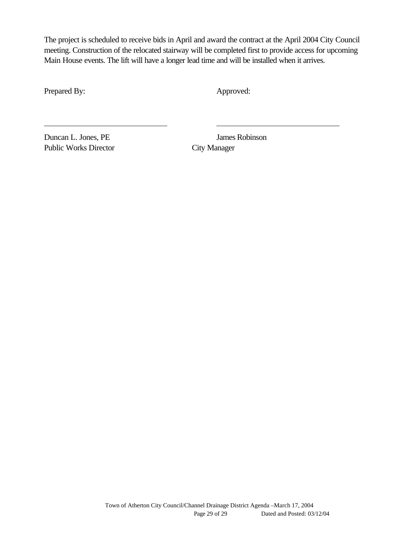The project is scheduled to receive bids in April and award the contract at the April 2004 City Council meeting. Construction of the relocated stairway will be completed first to provide access for upcoming Main House events. The lift will have a longer lead time and will be installed when it arrives.

Prepared By: Approved:

Duncan L. Jones, PE James Robinson Public Works Director City Manager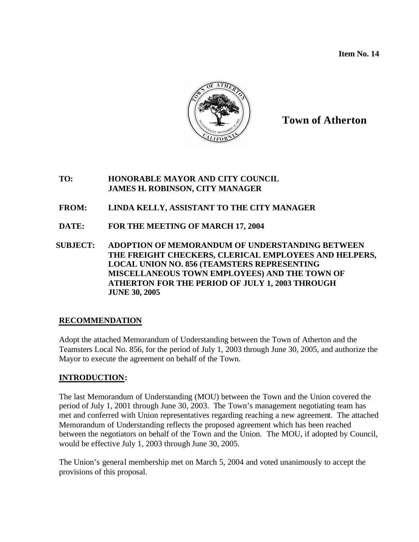**Item No. 14**



## **Town of Atherton**

#### **TO: HONORABLE MAYOR AND CITY COUNCIL JAMES H. ROBINSON, CITY MANAGER**

- **FROM: LINDA KELLY, ASSISTANT TO THE CITY MANAGER**
- **DATE: FOR THE MEETING OF MARCH 17, 2004**
- **SUBJECT: ADOPTION OF MEMORANDUM OF UNDERSTANDING BETWEEN THE FREIGHT CHECKERS, CLERICAL EMPLOYEES AND HELPERS, LOCAL UNION NO. 856 (TEAMSTERS REPRESENTING MISCELLANEOUS TOWN EMPLOYEES) AND THE TOWN OF ATHERTON FOR THE PERIOD OF JULY 1, 2003 THROUGH JUNE 30, 2005**

## **RECOMMENDATION**

Adopt the attached Memorandum of Understanding between the Town of Atherton and the Teamsters Local No. 856, for the period of July 1, 2003 through June 30, 2005, and authorize the Mayor to execute the agreement on behalf of the Town.

## **INTRODUCTION:**

The last Memorandum of Understanding (MOU) between the Town and the Union covered the period of July 1, 2001 through June 30, 2003. The Town's management negotiating team has met and conferred with Union representatives regarding reaching a new agreement. The attached Memorandum of Understanding reflects the proposed agreement which has been reached between the negotiators on behalf of the Town and the Union. The MOU, if adopted by Council, would be effective July 1, 2003 through June 30, 2005.

The Union's general membership met on March 5, 2004 and voted unanimously to accept the provisions of this proposal.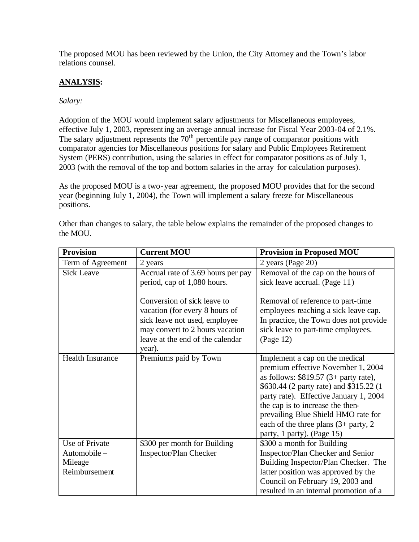The proposed MOU has been reviewed by the Union, the City Attorney and the Town's labor relations counsel.

### **ANALYSIS:**

#### *Salary:*

Adoption of the MOU would implement salary adjustments for Miscellaneous employees, effective July 1, 2003, representing an average annual increase for Fiscal Year 2003-04 of 2.1%. The salary adjustment represents the  $70<sup>th</sup>$  percentile pay range of comparator positions with comparator agencies for Miscellaneous positions for salary and Public Employees Retirement System (PERS) contribution, using the salaries in effect for comparator positions as of July 1, 2003 (with the removal of the top and bottom salaries in the array for calculation purposes).

As the proposed MOU is a two-year agreement, the proposed MOU provides that for the second year (beginning July 1, 2004), the Town will implement a salary freeze for Miscellaneous positions.

| <b>Provision</b>                                          | <b>Current MOU</b>                                                                                                                                                              | <b>Provision in Proposed MOU</b>                                                                                                                                                                                                                                                                                                                        |
|-----------------------------------------------------------|---------------------------------------------------------------------------------------------------------------------------------------------------------------------------------|---------------------------------------------------------------------------------------------------------------------------------------------------------------------------------------------------------------------------------------------------------------------------------------------------------------------------------------------------------|
| Term of Agreement                                         | 2 years                                                                                                                                                                         | 2 years (Page 20)                                                                                                                                                                                                                                                                                                                                       |
| <b>Sick Leave</b>                                         | Accrual rate of 3.69 hours per pay<br>period, cap of 1,080 hours.                                                                                                               | Removal of the cap on the hours of<br>sick leave accrual. (Page 11)                                                                                                                                                                                                                                                                                     |
|                                                           | Conversion of sick leave to<br>vacation (for every 8 hours of<br>sick leave not used, employee<br>may convert to 2 hours vacation<br>leave at the end of the calendar<br>year). | Removal of reference to part-time<br>employees reaching a sick leave cap.<br>In practice, the Town does not provide<br>sick leave to part-time employees.<br>(Page 12)                                                                                                                                                                                  |
| <b>Health Insurance</b>                                   | Premiums paid by Town                                                                                                                                                           | Implement a cap on the medical<br>premium effective November 1, 2004<br>as follows: $$819.57$ (3+ party rate),<br>\$630.44 (2 party rate) and \$315.22 (1)<br>party rate). Effective January 1, 2004<br>the cap is to increase the then-<br>prevailing Blue Shield HMO rate for<br>each of the three plans $(3+$ party, 2<br>party, 1 party). (Page 15) |
| Use of Private<br>Automobile-<br>Mileage<br>Reimbursement | \$300 per month for Building<br>Inspector/Plan Checker                                                                                                                          | \$300 a month for Building<br>Inspector/Plan Checker and Senior<br>Building Inspector/Plan Checker. The<br>latter position was approved by the<br>Council on February 19, 2003 and<br>resulted in an internal promotion of a                                                                                                                            |

Other than changes to salary, the table below explains the remainder of the proposed changes to the MOU.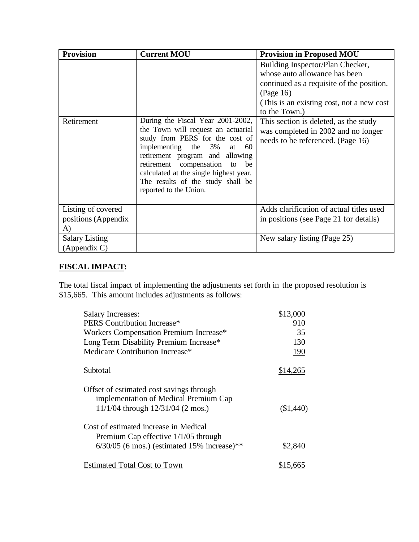| <b>Provision</b>      | <b>Current MOU</b>                                                                                                                                                                                                                                                                                                               | <b>Provision in Proposed MOU</b>                                                                                                                                                                                                                                                                               |
|-----------------------|----------------------------------------------------------------------------------------------------------------------------------------------------------------------------------------------------------------------------------------------------------------------------------------------------------------------------------|----------------------------------------------------------------------------------------------------------------------------------------------------------------------------------------------------------------------------------------------------------------------------------------------------------------|
| Retirement            | During the Fiscal Year 2001-2002,<br>the Town will request an actuarial<br>study from PERS for the cost of<br>implementing the 3%<br>60<br>at<br>retirement program and allowing<br>retirement compensation<br>be<br>to<br>calculated at the single highest year.<br>The results of the study shall be<br>reported to the Union. | Building Inspector/Plan Checker,<br>whose auto allowance has been<br>continued as a requisite of the position.<br>(Page 16)<br>(This is an existing cost, not a new cost<br>to the Town.)<br>This section is deleted, as the study<br>was completed in 2002 and no longer<br>needs to be referenced. (Page 16) |
| Listing of covered    |                                                                                                                                                                                                                                                                                                                                  | Adds clarification of actual titles used                                                                                                                                                                                                                                                                       |
| positions (Appendix   |                                                                                                                                                                                                                                                                                                                                  | in positions (see Page 21 for details)                                                                                                                                                                                                                                                                         |
| A)                    |                                                                                                                                                                                                                                                                                                                                  |                                                                                                                                                                                                                                                                                                                |
| <b>Salary Listing</b> |                                                                                                                                                                                                                                                                                                                                  | New salary listing (Page 25)                                                                                                                                                                                                                                                                                   |
| $(A$ ppendix $C$ )    |                                                                                                                                                                                                                                                                                                                                  |                                                                                                                                                                                                                                                                                                                |

## **FISCAL IMPACT:**

The total fiscal impact of implementing the adjustments set forth in the proposed resolution is \$15,665. This amount includes adjustments as follows:

| <b>Salary Increases:</b>                                                                                                       | \$13,000  |
|--------------------------------------------------------------------------------------------------------------------------------|-----------|
| PERS Contribution Increase*                                                                                                    | 910       |
| Workers Compensation Premium Increase*                                                                                         | 35        |
| Long Term Disability Premium Increase*                                                                                         | 130       |
| Medicare Contribution Increase*                                                                                                | 190       |
| Subtotal                                                                                                                       | \$14,265  |
| Offset of estimated cost savings through<br>implementation of Medical Premium Cap<br>$11/1/04$ through $12/31/04$ (2 mos.)     | (\$1,440) |
| Cost of estimated increase in Medical<br>Premium Cap effective 1/1/05 through<br>$6/30/05$ (6 mos.) (estimated 15% increase)** | \$2,840   |
| <b>Estimated Total Cost to Town</b>                                                                                            | \$15,665  |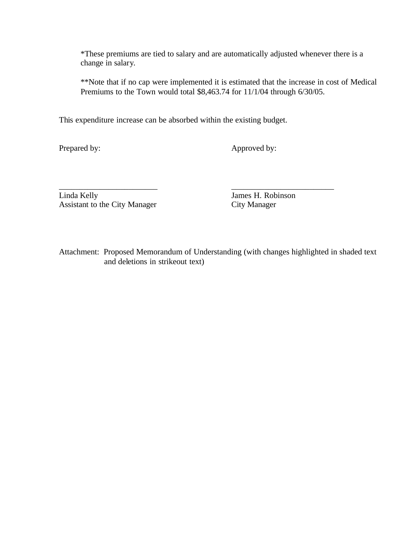\*These premiums are tied to salary and are automatically adjusted whenever there is a change in salary.

\*\*Note that if no cap were implemented it is estimated that the increase in cost of Medical Premiums to the Town would total \$8,463.74 for 11/1/04 through 6/30/05.

This expenditure increase can be absorbed within the existing budget.

Prepared by: Approved by:

\_\_\_\_\_\_\_\_\_\_\_\_\_\_\_\_\_\_\_\_\_\_\_\_ \_\_\_\_\_\_\_\_\_\_\_\_\_\_\_\_\_\_\_\_\_\_\_\_\_ Linda Kelly James H. Robinson Assistant to the City Manager City Manager

Attachment: Proposed Memorandum of Understanding (with changes highlighted in shaded text and deletions in strikeout text)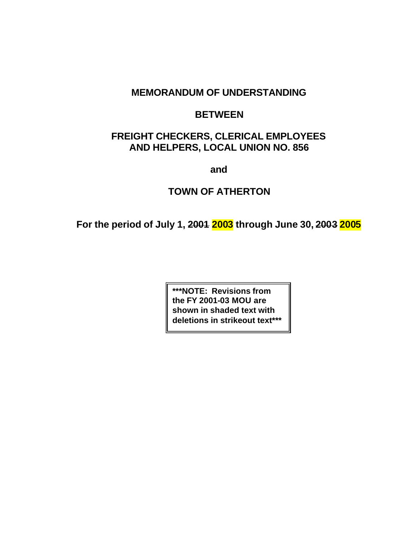## **MEMORANDUM OF UNDERSTANDING**

## **BETWEEN**

## **FREIGHT CHECKERS, CLERICAL EMPLOYEES AND HELPERS, LOCAL UNION NO. 856**

**and**

## **TOWN OF ATHERTON**

**For the period of July 1, 2001 2003 through June 30, 2003 2005**

**\*\*\*NOTE: Revisions from the FY 2001-03 MOU are shown in shaded text with deletions in strikeout text\*\*\***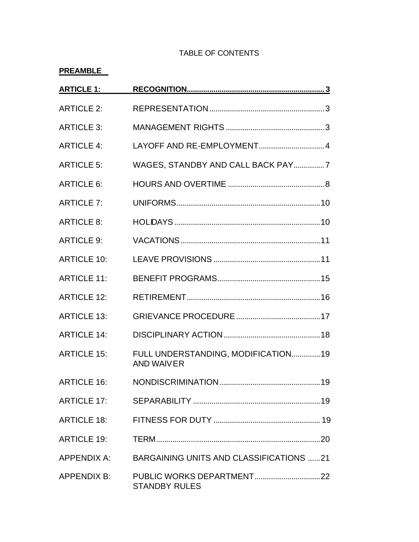### TABLE OF CONTENTS

## **PREAMBLE**

| <b>ARTICLE 1:</b>  |                                                         |  |
|--------------------|---------------------------------------------------------|--|
| <b>ARTICLE 2:</b>  |                                                         |  |
| <b>ARTICLE 3:</b>  |                                                         |  |
| <b>ARTICLE 4:</b>  | LAYOFF AND RE-EMPLOYMENT4                               |  |
| <b>ARTICLE 5:</b>  | WAGES, STANDBY AND CALL BACK PAY 7                      |  |
| <b>ARTICLE 6:</b>  |                                                         |  |
| <b>ARTICLE 7:</b>  |                                                         |  |
| <b>ARTICLE 8:</b>  |                                                         |  |
| <b>ARTICLE 9:</b>  |                                                         |  |
| <b>ARTICLE 10:</b> |                                                         |  |
| <b>ARTICLE 11:</b> |                                                         |  |
| <b>ARTICLE 12:</b> |                                                         |  |
| <b>ARTICLE 13:</b> |                                                         |  |
| <b>ARTICLE 14:</b> |                                                         |  |
| <b>ARTICLE 15:</b> | FULL UNDERSTANDING, MODIFICATION19<br><b>AND WAIVER</b> |  |
| <b>ARTICLE 16:</b> |                                                         |  |
| <b>ARTICLE 17:</b> |                                                         |  |
| <b>ARTICLE 18:</b> |                                                         |  |
| <b>ARTICLE 19:</b> |                                                         |  |
|                    | APPENDIX A: BARGAINING UNITS AND CLASSIFICATIONS 21     |  |
| APPENDIX B:        | <b>STANDBY RULES</b>                                    |  |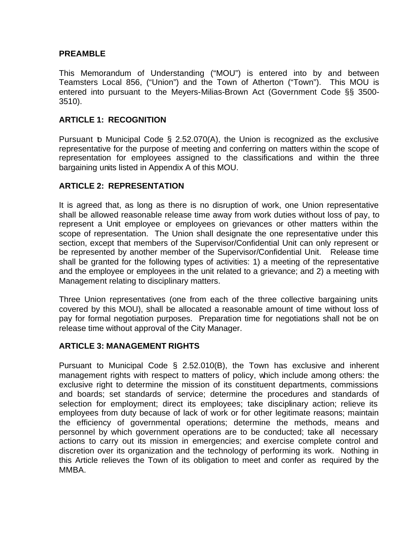#### **PREAMBLE**

This Memorandum of Understanding ("MOU") is entered into by and between Teamsters Local 856, ("Union") and the Town of Atherton ("Town"). This MOU is entered into pursuant to the Meyers-Milias-Brown Act (Government Code §§ 3500- 3510).

### **ARTICLE 1: RECOGNITION**

Pursuant b Municipal Code  $\S$  2.52.070(A), the Union is recognized as the exclusive representative for the purpose of meeting and conferring on matters within the scope of representation for employees assigned to the classifications and within the three bargaining units listed in Appendix A of this MOU.

### **ARTICLE 2: REPRESENTATION**

It is agreed that, as long as there is no disruption of work, one Union representative shall be allowed reasonable release time away from work duties without loss of pay, to represent a Unit employee or employees on grievances or other matters within the scope of representation. The Union shall designate the one representative under this section, except that members of the Supervisor/Confidential Unit can only represent or be represented by another member of the Supervisor/Confidential Unit. Release time shall be granted for the following types of activities: 1) a meeting of the representative and the employee or employees in the unit related to a grievance; and 2) a meeting with Management relating to disciplinary matters.

Three Union representatives (one from each of the three collective bargaining units covered by this MOU), shall be allocated a reasonable amount of time without loss of pay for formal negotiation purposes. Preparation time for negotiations shall not be on release time without approval of the City Manager.

#### **ARTICLE 3: MANAGEMENT RIGHTS**

Pursuant to Municipal Code § 2.52.010(B), the Town has exclusive and inherent management rights with respect to matters of policy, which include among others: the exclusive right to determine the mission of its constituent departments, commissions and boards; set standards of service; determine the procedures and standards of selection for employment; direct its employees; take disciplinary action; relieve its employees from duty because of lack of work or for other legitimate reasons; maintain the efficiency of governmental operations; determine the methods, means and personnel by which government operations are to be conducted; take all necessary actions to carry out its mission in emergencies; and exercise complete control and discretion over its organization and the technology of performing its work. Nothing in this Article relieves the Town of its obligation to meet and confer as required by the MMBA.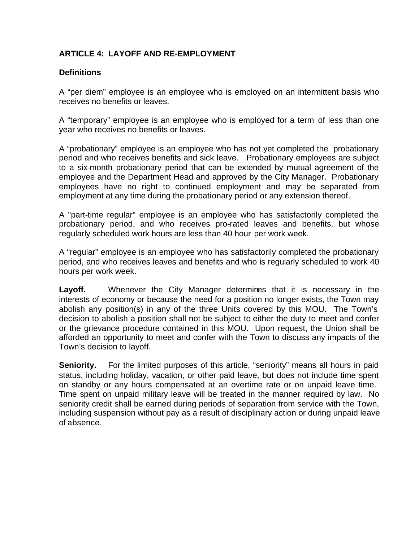# **ARTICLE 4: LAYOFF AND RE-EMPLOYMENT**

#### **Definitions**

A "per diem" employee is an employee who is employed on an intermittent basis who receives no benefits or leaves.

A "temporary" employee is an employee who is employed for a term of less than one year who receives no benefits or leaves.

A "probationary" employee is an employee who has not yet completed the probationary period and who receives benefits and sick leave. Probationary employees are subject to a six-month probationary period that can be extended by mutual agreement of the employee and the Department Head and approved by the City Manager. Probationary employees have no right to continued employment and may be separated from employment at any time during the probationary period or any extension thereof.

A "part-time regular" employee is an employee who has satisfactorily completed the probationary period, and who receives pro-rated leaves and benefits, but whose regularly scheduled work hours are less than 40 hour per work week.

A "regular" employee is an employee who has satisfactorily completed the probationary period, and who receives leaves and benefits and who is regularly scheduled to work 40 hours per work week.

**Layoff.** Whenever the City Manager determines that it is necessary in the interests of economy or because the need for a position no longer exists, the Town may abolish any position(s) in any of the three Units covered by this MOU. The Town's decision to abolish a position shall not be subject to either the duty to meet and confer or the grievance procedure contained in this MOU. Upon request, the Union shall be afforded an opportunity to meet and confer with the Town to discuss any impacts of the Town's decision to layoff.

**Seniority.** For the limited purposes of this article, "seniority" means all hours in paid status, including holiday, vacation, or other paid leave, but does not include time spent on standby or any hours compensated at an overtime rate or on unpaid leave time. Time spent on unpaid military leave will be treated in the manner required by law. No seniority credit shall be earned during periods of separation from service with the Town, including suspension without pay as a result of disciplinary action or during unpaid leave of absence.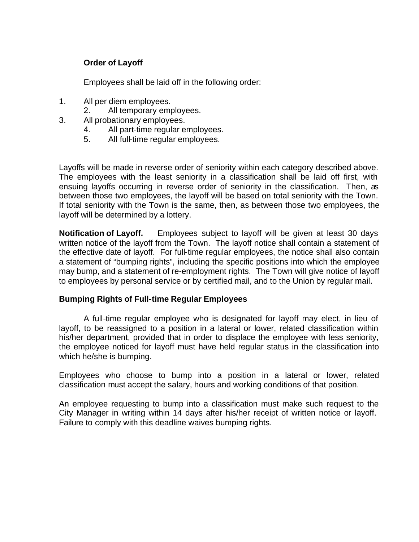#### **Order of Layoff**

Employees shall be laid off in the following order:

- 1. All per diem employees.
	- 2. All temporary employees.
- 3. All probationary employees.
	- 4. All part-time regular employees.
	- 5. All full-time regular employees.

Layoffs will be made in reverse order of seniority within each category described above. The employees with the least seniority in a classification shall be laid off first, with ensuing layoffs occurring in reverse order of seniority in the classification. Then, as between those two employees, the layoff will be based on total seniority with the Town. If total seniority with the Town is the same, then, as between those two employees, the layoff will be determined by a lottery.

**Notification of Layoff.** Employees subject to layoff will be given at least 30 days written notice of the layoff from the Town. The layoff notice shall contain a statement of the effective date of layoff. For full-time regular employees, the notice shall also contain a statement of "bumping rights", including the specific positions into which the employee may bump, and a statement of re-employment rights. The Town will give notice of layoff to employees by personal service or by certified mail, and to the Union by regular mail.

#### **Bumping Rights of Full-time Regular Employees**

A full-time regular employee who is designated for layoff may elect, in lieu of layoff, to be reassigned to a position in a lateral or lower, related classification within his/her department, provided that in order to displace the employee with less seniority, the employee noticed for layoff must have held regular status in the classification into which he/she is bumping.

Employees who choose to bump into a position in a lateral or lower, related classification must accept the salary, hours and working conditions of that position.

An employee requesting to bump into a classification must make such request to the City Manager in writing within 14 days after his/her receipt of written notice or layoff. Failure to comply with this deadline waives bumping rights.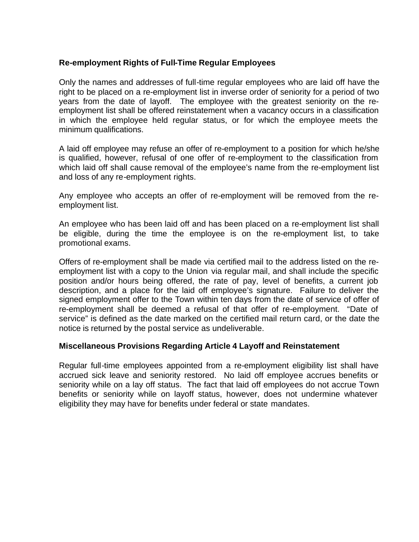#### **Re-employment Rights of Full-Time Regular Employees**

Only the names and addresses of full-time regular employees who are laid off have the right to be placed on a re-employment list in inverse order of seniority for a period of two years from the date of layoff. The employee with the greatest seniority on the reemployment list shall be offered reinstatement when a vacancy occurs in a classification in which the employee held regular status, or for which the employee meets the minimum qualifications.

A laid off employee may refuse an offer of re-employment to a position for which he/she is qualified, however, refusal of one offer of re-employment to the classification from which laid off shall cause removal of the employee's name from the re-employment list and loss of any re-employment rights.

Any employee who accepts an offer of re-employment will be removed from the reemployment list.

An employee who has been laid off and has been placed on a re-employment list shall be eligible, during the time the employee is on the re-employment list, to take promotional exams.

Offers of re-employment shall be made via certified mail to the address listed on the reemployment list with a copy to the Union via regular mail, and shall include the specific position and/or hours being offered, the rate of pay, level of benefits, a current job description, and a place for the laid off employee's signature. Failure to deliver the signed employment offer to the Town within ten days from the date of service of offer of re-employment shall be deemed a refusal of that offer of re-employment. "Date of service" is defined as the date marked on the certified mail return card, or the date the notice is returned by the postal service as undeliverable.

#### **Miscellaneous Provisions Regarding Article 4 Layoff and Reinstatement**

Regular full-time employees appointed from a re-employment eligibility list shall have accrued sick leave and seniority restored. No laid off employee accrues benefits or seniority while on a lay off status. The fact that laid off employees do not accrue Town benefits or seniority while on layoff status, however, does not undermine whatever eligibility they may have for benefits under federal or state mandates.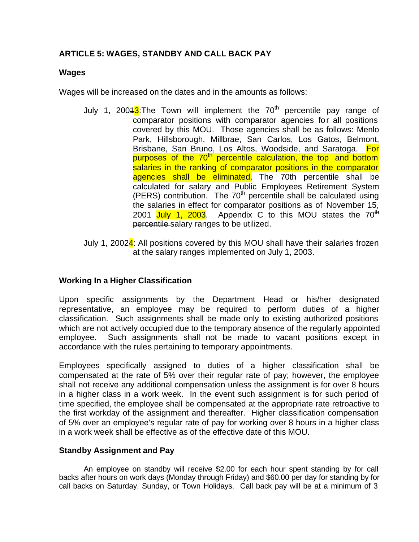# **ARTICLE 5: WAGES, STANDBY AND CALL BACK PAY**

#### **Wages**

Wages will be increased on the dates and in the amounts as follows:

- July 1, 2004 $3$ : The Town will implement the 70<sup>th</sup> percentile pay range of comparator positions with comparator agencies for all positions covered by this MOU. Those agencies shall be as follows: Menlo Park, Hillsborough, Millbrae, San Carlos, Los Gatos, Belmont, Brisbane, San Bruno, Los Altos, Woodside, and Saratoga. For purposes of the 70<sup>th</sup> percentile calculation, the top and bottom salaries in the ranking of comparator positions in the comparator agencies shall be eliminated. The 70th percentile shall be calculated for salary and Public Employees Retirement System (PERS) contribution. The  $70<sup>th</sup>$  percentile shall be calculated using the salaries in effect for comparator positions as of November 15, 2001 July 1, 2003. Appendix C to this MOU states the  $70<sup>th</sup>$ percentile salary ranges to be utilized.
- July 1, 20024: All positions covered by this MOU shall have their salaries frozen at the salary ranges implemented on July 1, 2003.

#### **Working In a Higher Classification**

Upon specific assignments by the Department Head or his/her designated representative, an employee may be required to perform duties of a higher classification. Such assignments shall be made only to existing authorized positions which are not actively occupied due to the temporary absence of the regularly appointed employee. Such assignments shall not be made to vacant positions except in accordance with the rules pertaining to temporary appointments.

Employees specifically assigned to duties of a higher classification shall be compensated at the rate of 5% over their regular rate of pay; however, the employee shall not receive any additional compensation unless the assignment is for over 8 hours in a higher class in a work week. In the event such assignment is for such period of time specified, the employee shall be compensated at the appropriate rate retroactive to the first workday of the assignment and thereafter. Higher classification compensation of 5% over an employee's regular rate of pay for working over 8 hours in a higher class in a work week shall be effective as of the effective date of this MOU.

#### **Standby Assignment and Pay**

An employee on standby will receive \$2.00 for each hour spent standing by for call backs after hours on work days (Monday through Friday) and \$60.00 per day for standing by for call backs on Saturday, Sunday, or Town Holidays. Call back pay will be at a minimum of 3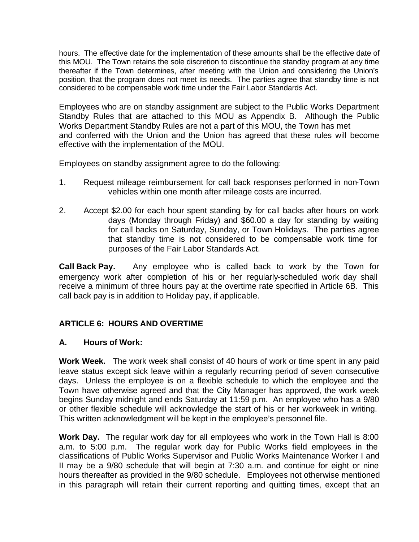hours. The effective date for the implementation of these amounts shall be the effective date of this MOU. The Town retains the sole discretion to discontinue the standby program at any time thereafter if the Town determines, after meeting with the Union and considering the Union's position, that the program does not meet its needs. The parties agree that standby time is not considered to be compensable work time under the Fair Labor Standards Act.

Employees who are on standby assignment are subject to the Public Works Department Standby Rules that are attached to this MOU as Appendix B. Although the Public Works Department Standby Rules are not a part of this MOU, the Town has met and conferred with the Union and the Union has agreed that these rules will become effective with the implementation of the MOU.

Employees on standby assignment agree to do the following:

- 1. Request mileage reimbursement for call back responses performed in non-Town vehicles within one month after mileage costs are incurred.
- 2. Accept \$2.00 for each hour spent standing by for call backs after hours on work days (Monday through Friday) and \$60.00 a day for standing by waiting for call backs on Saturday, Sunday, or Town Holidays. The parties agree that standby time is not considered to be compensable work time for purposes of the Fair Labor Standards Act.

**Call Back Pay.** Any employee who is called back to work by the Town for emergency work after completion of his or her regularly-scheduled work day shall receive a minimum of three hours pay at the overtime rate specified in Article 6B. This call back pay is in addition to Holiday pay, if applicable.

## **ARTICLE 6: HOURS AND OVERTIME**

#### **A. Hours of Work:**

**Work Week.** The work week shall consist of 40 hours of work or time spent in any paid leave status except sick leave within a regularly recurring period of seven consecutive days. Unless the employee is on a flexible schedule to which the employee and the Town have otherwise agreed and that the City Manager has approved, the work week begins Sunday midnight and ends Saturday at 11:59 p.m. An employee who has a 9/80 or other flexible schedule will acknowledge the start of his or her workweek in writing. This written acknowledgment will be kept in the employee's personnel file.

**Work Day.** The regular work day for all employees who work in the Town Hall is 8:00 a.m. to 5:00 p.m. The regular work day for Public Works field employees in the classifications of Public Works Supervisor and Public Works Maintenance Worker I and II may be a 9/80 schedule that will begin at 7:30 a.m. and continue for eight or nine hours thereafter as provided in the 9/80 schedule. Employees not otherwise mentioned in this paragraph will retain their current reporting and quitting times, except that an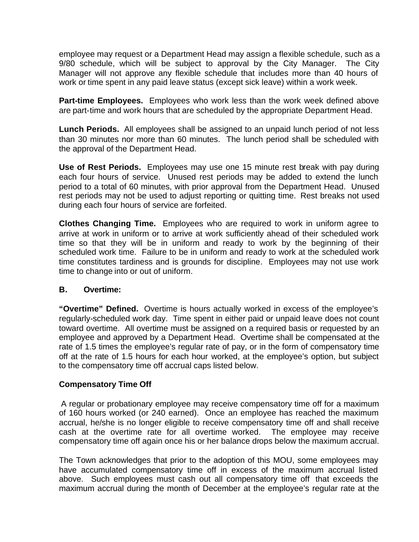employee may request or a Department Head may assign a flexible schedule, such as a 9/80 schedule, which will be subject to approval by the City Manager. The City Manager will not approve any flexible schedule that includes more than 40 hours of work or time spent in any paid leave status (except sick leave) within a work week.

**Part-time Employees.** Employees who work less than the work week defined above are part-time and work hours that are scheduled by the appropriate Department Head.

**Lunch Periods.** All employees shall be assigned to an unpaid lunch period of not less than 30 minutes nor more than 60 minutes. The lunch period shall be scheduled with the approval of the Department Head.

**Use of Rest Periods.** Employees may use one 15 minute rest break with pay during each four hours of service. Unused rest periods may be added to extend the lunch period to a total of 60 minutes, with prior approval from the Department Head. Unused rest periods may not be used to adjust reporting or quitting time. Rest breaks not used during each four hours of service are forfeited.

**Clothes Changing Time.** Employees who are required to work in uniform agree to arrive at work in uniform or to arrive at work sufficiently ahead of their scheduled work time so that they will be in uniform and ready to work by the beginning of their scheduled work time. Failure to be in uniform and ready to work at the scheduled work time constitutes tardiness and is grounds for discipline. Employees may not use work time to change into or out of uniform.

## **B. Overtime:**

**"Overtime" Defined.** Overtime is hours actually worked in excess of the employee's regularly-scheduled work day. Time spent in either paid or unpaid leave does not count toward overtime. All overtime must be assigned on a required basis or requested by an employee and approved by a Department Head. Overtime shall be compensated at the rate of 1.5 times the employee's regular rate of pay, or in the form of compensatory time off at the rate of 1.5 hours for each hour worked, at the employee's option, but subject to the compensatory time off accrual caps listed below.

#### **Compensatory Time Off**

A regular or probationary employee may receive compensatory time off for a maximum of 160 hours worked (or 240 earned). Once an employee has reached the maximum accrual, he/she is no longer eligible to receive compensatory time off and shall receive cash at the overtime rate for all overtime worked. The employee may receive compensatory time off again once his or her balance drops below the maximum accrual.

The Town acknowledges that prior to the adoption of this MOU, some employees may have accumulated compensatory time off in excess of the maximum accrual listed above. Such employees must cash out all compensatory time off that exceeds the maximum accrual during the month of December at the employee's regular rate at the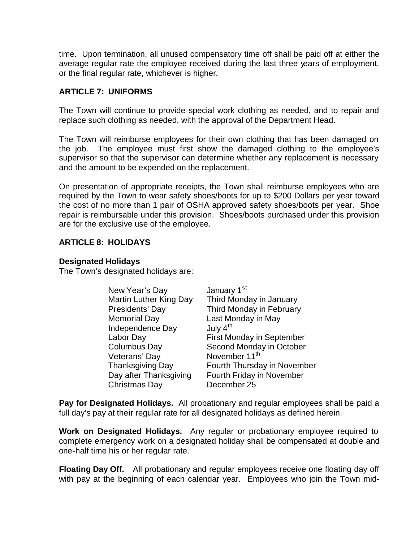time. Upon termination, all unused compensatory time off shall be paid off at either the average regular rate the employee received during the last three years of employment, or the final regular rate, whichever is higher.

#### **ARTICLE 7: UNIFORMS**

The Town will continue to provide special work clothing as needed, and to repair and replace such clothing as needed, with the approval of the Department Head.

The Town will reimburse employees for their own clothing that has been damaged on the job. The employee must first show the damaged clothing to the employee's supervisor so that the supervisor can determine whether any replacement is necessary and the amount to be expended on the replacement.

On presentation of appropriate receipts, the Town shall reimburse employees who are required by the Town to wear safety shoes/boots for up to \$200 Dollars per year toward the cost of no more than 1 pair of OSHA approved safety shoes/boots per year. Shoe repair is reimbursable under this provision. Shoes/boots purchased under this provision are for the exclusive use of the employee.

#### **ARTICLE 8: HOLIDAYS**

#### **Designated Holidays**

The Town's designated holidays are:

| New Year's Day                | January 1 <sup>st</sup>          |
|-------------------------------|----------------------------------|
| <b>Martin Luther King Day</b> | Third Monday in January          |
| Presidents' Day               | Third Monday in February         |
| <b>Memorial Day</b>           | Last Monday in May               |
| Independence Day              | July $4th$                       |
| Labor Day                     | <b>First Monday in September</b> |
| <b>Columbus Day</b>           | Second Monday in October         |
| Veterans' Day                 | November 11 <sup>th</sup>        |
| <b>Thanksgiving Day</b>       | Fourth Thursday in November      |
| Day after Thanksgiving        | Fourth Friday in November        |
| Christmas Day                 | December 25                      |

**Pay for Designated Holidays.** All probationary and regular employees shall be paid a full day's pay at their regular rate for all designated holidays as defined herein.

**Work on Designated Holidays.** Any regular or probationary employee required to complete emergency work on a designated holiday shall be compensated at double and one-half time his or her regular rate.

**Floating Day Off.** All probationary and regular employees receive one floating day off with pay at the beginning of each calendar year. Employees who join the Town mid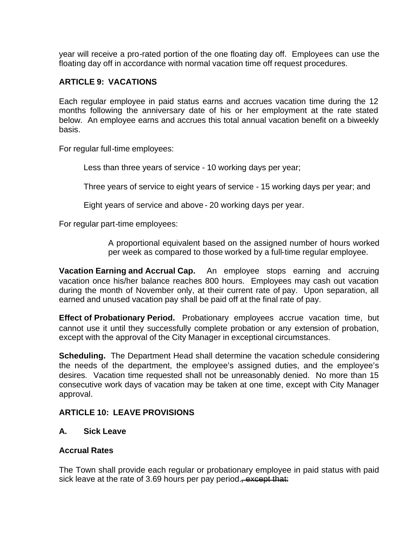year will receive a pro-rated portion of the one floating day off. Employees can use the floating day off in accordance with normal vacation time off request procedures.

#### **ARTICLE 9: VACATIONS**

Each regular employee in paid status earns and accrues vacation time during the 12 months following the anniversary date of his or her employment at the rate stated below. An employee earns and accrues this total annual vacation benefit on a biweekly basis.

For regular full-time employees:

Less than three years of service - 10 working days per year;

Three years of service to eight years of service - 15 working days per year; and

Eight years of service and above - 20 working days per year.

For regular part-time employees:

A proportional equivalent based on the assigned number of hours worked per week as compared to those worked by a full-time regular employee.

**Vacation Earning and Accrual Cap.** An employee stops earning and accruing vacation once his/her balance reaches 800 hours. Employees may cash out vacation during the month of November only, at their current rate of pay. Upon separation, all earned and unused vacation pay shall be paid off at the final rate of pay.

**Effect of Probationary Period.** Probationary employees accrue vacation time, but cannot use it until they successfully complete probation or any extension of probation, except with the approval of the City Manager in exceptional circumstances.

**Scheduling.** The Department Head shall determine the vacation schedule considering the needs of the department, the employee's assigned duties, and the employee's desires. Vacation time requested shall not be unreasonably denied. No more than 15 consecutive work days of vacation may be taken at one time, except with City Manager approval.

## **ARTICLE 10: LEAVE PROVISIONS**

#### **A. Sick Leave**

#### **Accrual Rates**

The Town shall provide each regular or probationary employee in paid status with paid sick leave at the rate of 3.69 hours per pay period.<del>, except that:</del>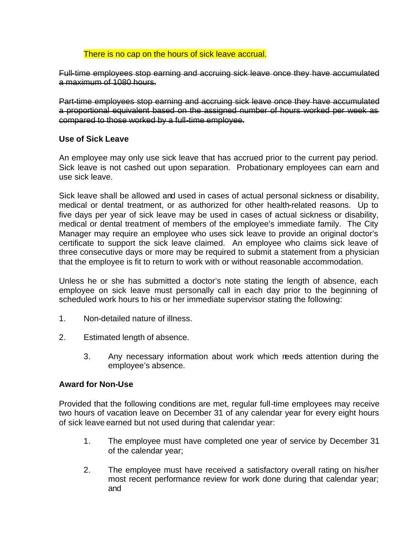#### There is no cap on the hours of sick leave accrual.

Full-time employees stop earning and accruing sick leave once they have accumulated a maximum of 1080 hours.

Part-time employees stop earning and accruing sick leave once they have accumulated a proportional equivalent based on the assigned number of hours worked per week as compared to those worked by a full-time employee.

#### **Use of Sick Leave**

An employee may only use sick leave that has accrued prior to the current pay period. Sick leave is not cashed out upon separation. Probationary employees can earn and use sick leave.

Sick leave shall be allowed and used in cases of actual personal sickness or disability, medical or dental treatment, or as authorized for other health-related reasons. Up to five days per year of sick leave may be used in cases of actual sickness or disability, medical or dental treatment of members of the employee's immediate family. The City Manager may require an employee who uses sick leave to provide an original doctor's certificate to support the sick leave claimed. An employee who claims sick leave of three consecutive days or more may be required to submit a statement from a physician that the employee is fit to return to work with or without reasonable accommodation.

Unless he or she has submitted a doctor's note stating the length of absence, each employee on sick leave must personally call in each day prior to the beginning of scheduled work hours to his or her immediate supervisor stating the following:

- 1. Non-detailed nature of illness.
- 2. Estimated length of absence.
	- 3. Any necessary information about work which needs attention during the employee's absence.

#### **Award for Non-Use**

Provided that the following conditions are met, regular full-time employees may receive two hours of vacation leave on December 31 of any calendar year for every eight hours of sick leave earned but not used during that calendar year:

- 1. The employee must have completed one year of service by December 31 of the calendar year;
- 2. The employee must have received a satisfactory overall rating on his/her most recent performance review for work done during that calendar year; and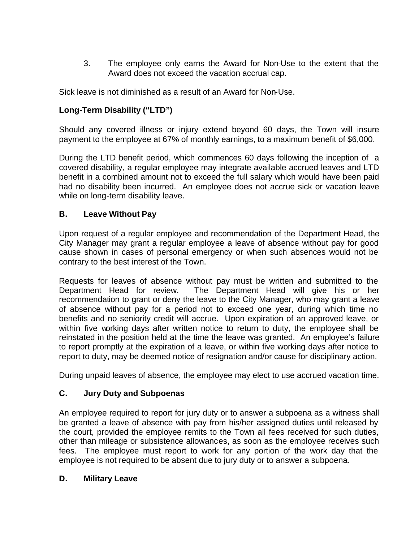3. The employee only earns the Award for Non-Use to the extent that the Award does not exceed the vacation accrual cap.

Sick leave is not diminished as a result of an Award for Non-Use.

# **Long-Term Disability ("LTD")**

Should any covered illness or injury extend beyond 60 days, the Town will insure payment to the employee at 67% of monthly earnings, to a maximum benefit of \$6,000.

During the LTD benefit period, which commences 60 days following the inception of a covered disability, a regular employee may integrate available accrued leaves and LTD benefit in a combined amount not to exceed the full salary which would have been paid had no disability been incurred. An employee does not accrue sick or vacation leave while on long-term disability leave.

# **B. Leave Without Pay**

Upon request of a regular employee and recommendation of the Department Head, the City Manager may grant a regular employee a leave of absence without pay for good cause shown in cases of personal emergency or when such absences would not be contrary to the best interest of the Town.

Requests for leaves of absence without pay must be written and submitted to the Department Head for review. The Department Head will give his or her recommendation to grant or deny the leave to the City Manager, who may grant a leave of absence without pay for a period not to exceed one year, during which time no benefits and no seniority credit will accrue. Upon expiration of an approved leave, or within five working days after written notice to return to duty, the employee shall be reinstated in the position held at the time the leave was granted. An employee's failure to report promptly at the expiration of a leave, or within five working days after notice to report to duty, may be deemed notice of resignation and/or cause for disciplinary action.

During unpaid leaves of absence, the employee may elect to use accrued vacation time.

# **C. Jury Duty and Subpoenas**

An employee required to report for jury duty or to answer a subpoena as a witness shall be granted a leave of absence with pay from his/her assigned duties until released by the court, provided the employee remits to the Town all fees received for such duties, other than mileage or subsistence allowances, as soon as the employee receives such fees. The employee must report to work for any portion of the work day that the employee is not required to be absent due to jury duty or to answer a subpoena.

## **D. Military Leave**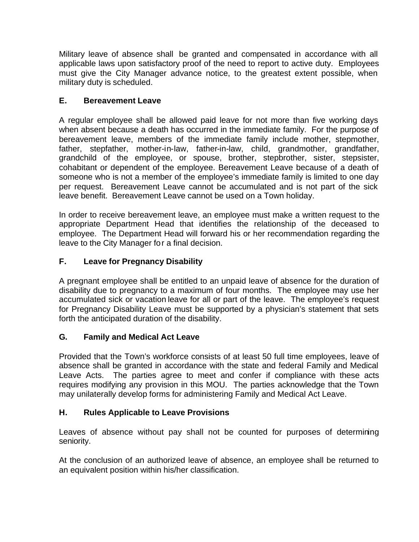Military leave of absence shall be granted and compensated in accordance with all applicable laws upon satisfactory proof of the need to report to active duty. Employees must give the City Manager advance notice, to the greatest extent possible, when military duty is scheduled.

# **E. Bereavement Leave**

A regular employee shall be allowed paid leave for not more than five working days when absent because a death has occurred in the immediate family. For the purpose of bereavement leave, members of the immediate family include mother, stepmother, father, stepfather, mother-in-law, father-in-law, child, grandmother, grandfather, grandchild of the employee, or spouse, brother, stepbrother, sister, stepsister, cohabitant or dependent of the employee. Bereavement Leave because of a death of someone who is not a member of the employee's immediate family is limited to one day per request. Bereavement Leave cannot be accumulated and is not part of the sick leave benefit. Bereavement Leave cannot be used on a Town holiday.

In order to receive bereavement leave, an employee must make a written request to the appropriate Department Head that identifies the relationship of the deceased to employee. The Department Head will forward his or her recommendation regarding the leave to the City Manager for a final decision.

# **F. Leave for Pregnancy Disability**

A pregnant employee shall be entitled to an unpaid leave of absence for the duration of disability due to pregnancy to a maximum of four months. The employee may use her accumulated sick or vacation leave for all or part of the leave. The employee's request for Pregnancy Disability Leave must be supported by a physician's statement that sets forth the anticipated duration of the disability.

## **G. Family and Medical Act Leave**

Provided that the Town's workforce consists of at least 50 full time employees, leave of absence shall be granted in accordance with the state and federal Family and Medical Leave Acts. The parties agree to meet and confer if compliance with these acts requires modifying any provision in this MOU. The parties acknowledge that the Town may unilaterally develop forms for administering Family and Medical Act Leave.

## **H. Rules Applicable to Leave Provisions**

Leaves of absence without pay shall not be counted for purposes of determining seniority.

At the conclusion of an authorized leave of absence, an employee shall be returned to an equivalent position within his/her classification.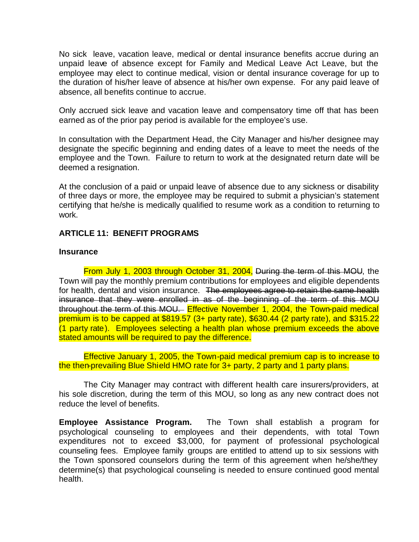No sick leave, vacation leave, medical or dental insurance benefits accrue during an unpaid leave of absence except for Family and Medical Leave Act Leave, but the employee may elect to continue medical, vision or dental insurance coverage for up to the duration of his/her leave of absence at his/her own expense. For any paid leave of absence, all benefits continue to accrue.

Only accrued sick leave and vacation leave and compensatory time off that has been earned as of the prior pay period is available for the employee's use.

In consultation with the Department Head, the City Manager and his/her designee may designate the specific beginning and ending dates of a leave to meet the needs of the employee and the Town. Failure to return to work at the designated return date will be deemed a resignation.

At the conclusion of a paid or unpaid leave of absence due to any sickness or disability of three days or more, the employee may be required to submit a physician's statement certifying that he/she is medically qualified to resume work as a condition to returning to work.

#### **ARTICLE 11: BENEFIT PROGRAMS**

#### **Insurance**

From July 1, 2003 through October 31, 2004, During the term of this MOU, the Town will pay the monthly premium contributions for employees and eligible dependents for health, dental and vision insurance. The employees agree to retain the same health insurance that they were enrolled in as of the beginning of the term of this MOU throughout the term of this MOU. Effective November 1, 2004, the Town-paid medical premium is to be capped at \$819.57 (3+ party rate), \$630.44 (2 party rate), and \$315.22 (1 party rate). Employees selecting a health plan whose premium exceeds the above stated amounts will be required to pay the difference.

Effective January 1, 2005, the Town-paid medical premium cap is to increase to the then-prevailing Blue Shield HMO rate for 3+ party, 2 party and 1 party plans.

The City Manager may contract with different health care insurers/providers, at his sole discretion, during the term of this MOU, so long as any new contract does not reduce the level of benefits.

**Employee Assistance Program.** The Town shall establish a program for psychological counseling to employees and their dependents, with total Town expenditures not to exceed \$3,000, for payment of professional psychological counseling fees. Employee family groups are entitled to attend up to six sessions with the Town sponsored counselors during the term of this agreement when he/she/they determine(s) that psychological counseling is needed to ensure continued good mental health.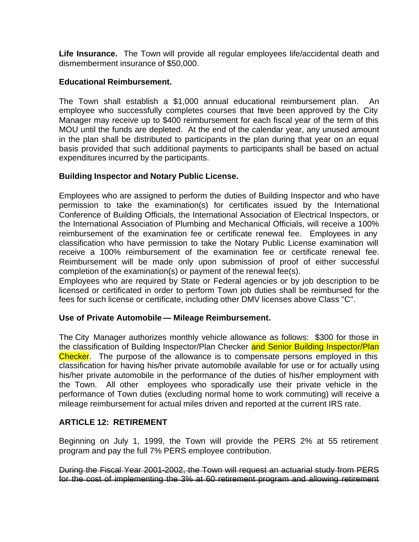**Life Insurance.** The Town will provide all regular employees life/accidental death and dismemberment insurance of \$50,000.

#### **Educational Reimbursement.**

The Town shall establish a \$1,000 annual educational reimbursement plan. An employee who successfully completes courses that have been approved by the City Manager may receive up to \$400 reimbursement for each fiscal year of the term of this MOU until the funds are depleted. At the end of the calendar year, any unused amount in the plan shall be distributed to participants in the plan during that year on an equal basis provided that such additional payments to participants shall be based on actual expenditures incurred by the participants.

#### **Building Inspector and Notary Public License.**

Employees who are assigned to perform the duties of Building Inspector and who have permission to take the examination(s) for certificates issued by the International Conference of Building Officials, the International Association of Electrical Inspectors, or the International Association of Plumbing and Mechanical Officials, will receive a 100% reimbursement of the examination fee or certificate renewal fee. Employees in any classification who have permission to take the Notary Public License examination will receive a 100% reimbursement of the examination fee or certificate renewal fee. Reimbursement will be made only upon submission of proof of either successful completion of the examination(s) or payment of the renewal fee(s).

Employees who are required by State or Federal agencies or by job description to be licensed or certificated in order to perform Town job duties shall be reimbursed for the fees for such license or certificate, including other DMV licenses above Class "C".

#### **Use of Private Automobile — Mileage Reimbursement.**

The City Manager authorizes monthly vehicle allowance as follows: \$300 for those in the classification of Building Inspector/Plan Checker and Senior Building Inspector/Plan Checker. The purpose of the allowance is to compensate persons employed in this classification for having his/her private automobile available for use or for actually using his/her private automobile in the performance of the duties of his/her employment with the Town. All other employees who sporadically use their private vehicle in the performance of Town duties (excluding normal home to work commuting) will receive a mileage reimbursement for actual miles driven and reported at the current IRS rate.

#### **ARTICLE 12: RETIREMENT**

Beginning on July 1, 1999, the Town will provide the PERS 2% at 55 retirement program and pay the full 7% PERS employee contribution.

During the Fiscal Year 2001-2002, the Town will request an actuarial study from PERS for the cost of implementing the 3% at 60 retirement program and allowing retirement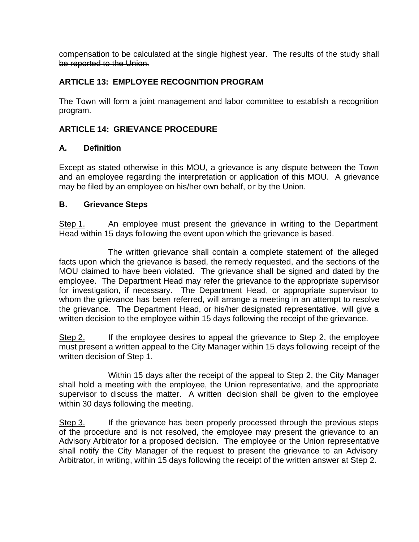compensation to be calculated at the single highest year. The results of the study shall be reported to the Union.

## **ARTICLE 13: EMPLOYEE RECOGNITION PROGRAM**

The Town will form a joint management and labor committee to establish a recognition program.

## **ARTICLE 14: GRIEVANCE PROCEDURE**

#### **A. Definition**

Except as stated otherwise in this MOU, a grievance is any dispute between the Town and an employee regarding the interpretation or application of this MOU. A grievance may be filed by an employee on his/her own behalf, or by the Union.

#### **B. Grievance Steps**

Step 1. An employee must present the grievance in writing to the Department Head within 15 days following the event upon which the grievance is based.

The written grievance shall contain a complete statement of the alleged facts upon which the grievance is based, the remedy requested, and the sections of the MOU claimed to have been violated. The grievance shall be signed and dated by the employee. The Department Head may refer the grievance to the appropriate supervisor for investigation, if necessary. The Department Head, or appropriate supervisor to whom the grievance has been referred, will arrange a meeting in an attempt to resolve the grievance. The Department Head, or his/her designated representative, will give a written decision to the employee within 15 days following the receipt of the grievance.

Step 2. If the employee desires to appeal the grievance to Step 2, the employee must present a written appeal to the City Manager within 15 days following receipt of the written decision of Step 1.

Within 15 days after the receipt of the appeal to Step 2, the City Manager shall hold a meeting with the employee, the Union representative, and the appropriate supervisor to discuss the matter. A written decision shall be given to the employee within 30 days following the meeting.

Step 3. If the grievance has been properly processed through the previous steps of the procedure and is not resolved, the employee may present the grievance to an Advisory Arbitrator for a proposed decision. The employee or the Union representative shall notify the City Manager of the request to present the grievance to an Advisory Arbitrator, in writing, within 15 days following the receipt of the written answer at Step 2.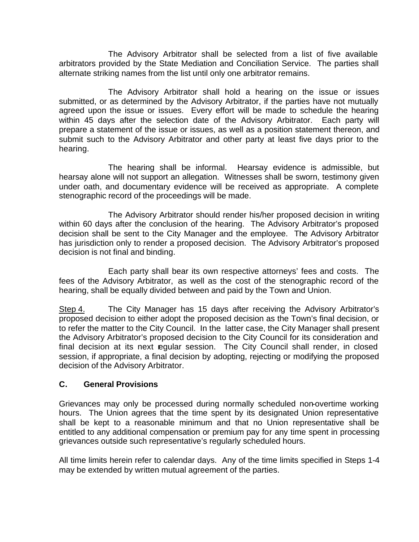The Advisory Arbitrator shall be selected from a list of five available arbitrators provided by the State Mediation and Conciliation Service. The parties shall alternate striking names from the list until only one arbitrator remains.

The Advisory Arbitrator shall hold a hearing on the issue or issues submitted, or as determined by the Advisory Arbitrator, if the parties have not mutually agreed upon the issue or issues. Every effort will be made to schedule the hearing within 45 days after the selection date of the Advisory Arbitrator. Each party will prepare a statement of the issue or issues, as well as a position statement thereon, and submit such to the Advisory Arbitrator and other party at least five days prior to the hearing.

The hearing shall be informal. Hearsay evidence is admissible, but hearsay alone will not support an allegation. Witnesses shall be sworn, testimony given under oath, and documentary evidence will be received as appropriate. A complete stenographic record of the proceedings will be made.

The Advisory Arbitrator should render his/her proposed decision in writing within 60 days after the conclusion of the hearing. The Advisory Arbitrator's proposed decision shall be sent to the City Manager and the employee. The Advisory Arbitrator has jurisdiction only to render a proposed decision. The Advisory Arbitrator's proposed decision is not final and binding.

Each party shall bear its own respective attorneys' fees and costs. The fees of the Advisory Arbitrator, as well as the cost of the stenographic record of the hearing, shall be equally divided between and paid by the Town and Union.

Step 4. The City Manager has 15 days after receiving the Advisory Arbitrator's proposed decision to either adopt the proposed decision as the Town's final decision, or to refer the matter to the City Council. In the latter case, the City Manager shall present the Advisory Arbitrator's proposed decision to the City Council for its consideration and final decision at its next regular session. The City Council shall render, in closed session, if appropriate, a final decision by adopting, rejecting or modifying the proposed decision of the Advisory Arbitrator.

#### **C. General Provisions**

Grievances may only be processed during normally scheduled non-overtime working hours. The Union agrees that the time spent by its designated Union representative shall be kept to a reasonable minimum and that no Union representative shall be entitled to any additional compensation or premium pay for any time spent in processing grievances outside such representative's regularly scheduled hours.

All time limits herein refer to calendar days. Any of the time limits specified in Steps 1-4 may be extended by written mutual agreement of the parties.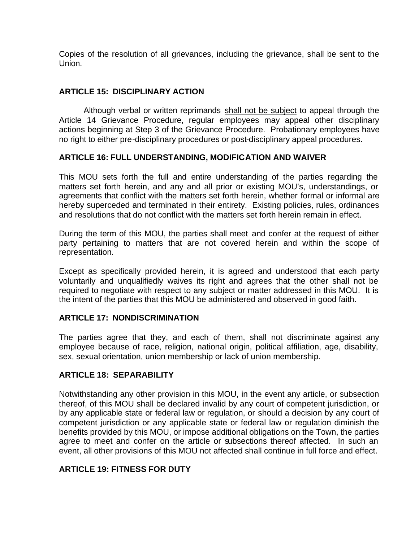Copies of the resolution of all grievances, including the grievance, shall be sent to the Union.

## **ARTICLE 15: DISCIPLINARY ACTION**

 Although verbal or written reprimands shall not be subject to appeal through the Article 14 Grievance Procedure, regular employees may appeal other disciplinary actions beginning at Step 3 of the Grievance Procedure. Probationary employees have no right to either pre-disciplinary procedures or post-disciplinary appeal procedures.

#### **ARTICLE 16: FULL UNDERSTANDING, MODIFICATION AND WAIVER**

This MOU sets forth the full and entire understanding of the parties regarding the matters set forth herein, and any and all prior or existing MOU's, understandings, or agreements that conflict with the matters set forth herein, whether formal or informal are hereby superceded and terminated in their entirety. Existing policies, rules, ordinances and resolutions that do not conflict with the matters set forth herein remain in effect.

During the term of this MOU, the parties shall meet and confer at the request of either party pertaining to matters that are not covered herein and within the scope of representation.

Except as specifically provided herein, it is agreed and understood that each party voluntarily and unqualifiedly waives its right and agrees that the other shall not be required to negotiate with respect to any subject or matter addressed in this MOU. It is the intent of the parties that this MOU be administered and observed in good faith.

#### **ARTICLE 17: NONDISCRIMINATION**

The parties agree that they, and each of them, shall not discriminate against any employee because of race, religion, national origin, political affiliation, age, disability, sex, sexual orientation, union membership or lack of union membership.

#### **ARTICLE 18: SEPARABILITY**

Notwithstanding any other provision in this MOU, in the event any article, or subsection thereof, of this MOU shall be declared invalid by any court of competent jurisdiction, or by any applicable state or federal law or regulation, or should a decision by any court of competent jurisdiction or any applicable state or federal law or regulation diminish the benefits provided by this MOU, or impose additional obligations on the Town, the parties agree to meet and confer on the article or subsections thereof affected. In such an event, all other provisions of this MOU not affected shall continue in full force and effect.

#### **ARTICLE 19: FITNESS FOR DUTY**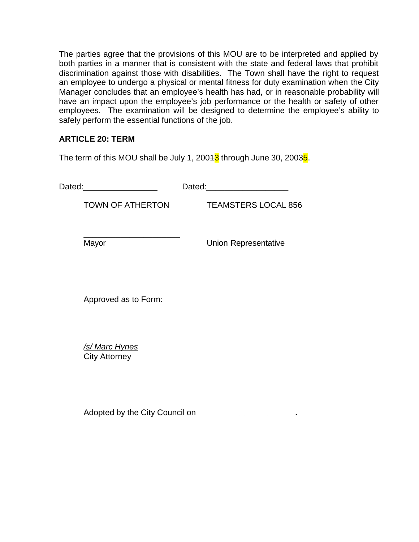The parties agree that the provisions of this MOU are to be interpreted and applied by both parties in a manner that is consistent with the state and federal laws that prohibit discrimination against those with disabilities. The Town shall have the right to request an employee to undergo a physical or mental fitness for duty examination when the City Manager concludes that an employee's health has had, or in reasonable probability will have an impact upon the employee's job performance or the health or safety of other employees. The examination will be designed to determine the employee's ability to safely perform the essential functions of the job.

## **ARTICLE 20: TERM**

The term of this MOU shall be July 1, 2004 $3$  through June 30, 2003 $5$ .

| Dated: | Dated: |
|--------|--------|
|        |        |

TOWN OF ATHERTON TEAMSTERS LOCAL 856

\_\_\_\_\_\_\_\_\_\_\_\_\_\_\_\_\_\_\_\_\_

Mayor **Mayor** Union Representative

Approved as to Form:

*/s/ Marc Hynes* City Attorney

Adopted by the City Council on **\_\_\_\_\_\_\_\_\_\_\_\_\_\_\_\_\_\_\_\_\_.**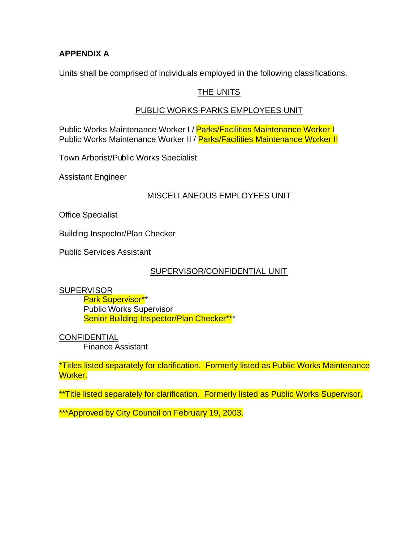#### **APPENDIX A**

Units shall be comprised of individuals employed in the following classifications.

#### THE UNITS

#### PUBLIC WORKS-PARKS EMPLOYEES UNIT

Public Works Maintenance Worker I / Parks/Facilities Maintenance Worker I Public Works Maintenance Worker II / Parks/Facilities Maintenance Worker II

Town Arborist/Public Works Specialist

Assistant Engineer

#### MISCELLANEOUS EMPLOYEES UNIT

Office Specialist

Building Inspector/Plan Checker

Public Services Assistant

#### SUPERVISOR/CONFIDENTIAL UNIT

#### **SUPERVISOR**

Park Supervisor\*\* Public Works Supervisor Senior Building Inspector/Plan Checker\*\*\*

CONFIDENTIAL

Finance Assistant

\*Titles listed separately for clarification. Formerly listed as Public Works Maintenance Worker.

\*\*Title listed separately for clarification. Formerly listed as Public Works Supervisor.

\*\*\*Approved by City Council on February 19, 2003.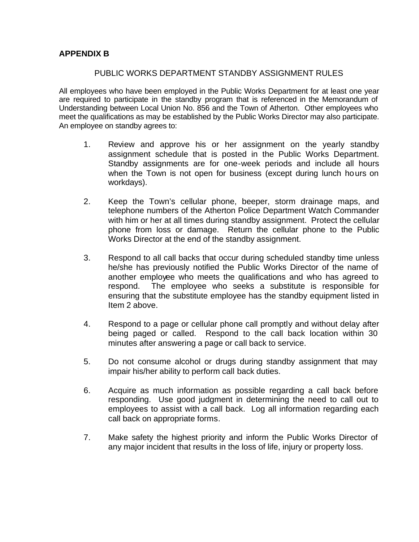#### **APPENDIX B**

#### PUBLIC WORKS DEPARTMENT STANDBY ASSIGNMENT RULES

All employees who have been employed in the Public Works Department for at least one year are required to participate in the standby program that is referenced in the Memorandum of Understanding between Local Union No. 856 and the Town of Atherton. Other employees who meet the qualifications as may be established by the Public Works Director may also participate. An employee on standby agrees to:

- 1. Review and approve his or her assignment on the yearly standby assignment schedule that is posted in the Public Works Department. Standby assignments are for one-week periods and include all hours when the Town is not open for business (except during lunch hours on workdays).
- 2. Keep the Town's cellular phone, beeper, storm drainage maps, and telephone numbers of the Atherton Police Department Watch Commander with him or her at all times during standby assignment. Protect the cellular phone from loss or damage. Return the cellular phone to the Public Works Director at the end of the standby assignment.
- 3. Respond to all call backs that occur during scheduled standby time unless he/she has previously notified the Public Works Director of the name of another employee who meets the qualifications and who has agreed to respond. The employee who seeks a substitute is responsible for ensuring that the substitute employee has the standby equipment listed in Item 2 above.
- 4. Respond to a page or cellular phone call promptly and without delay after being paged or called. Respond to the call back location within 30 minutes after answering a page or call back to service.
- 5. Do not consume alcohol or drugs during standby assignment that may impair his/her ability to perform call back duties.
- 6. Acquire as much information as possible regarding a call back before responding. Use good judgment in determining the need to call out to employees to assist with a call back. Log all information regarding each call back on appropriate forms.
- 7. Make safety the highest priority and inform the Public Works Director of any major incident that results in the loss of life, injury or property loss.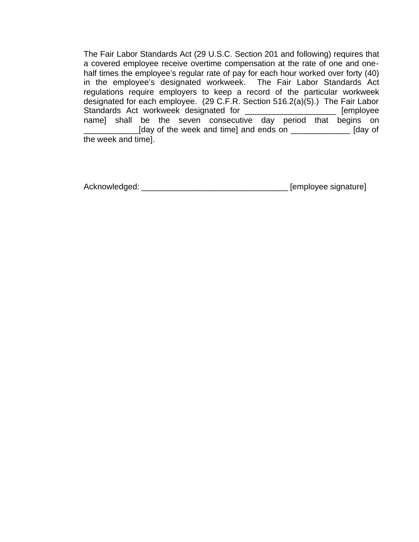The Fair Labor Standards Act (29 U.S.C. Section 201 and following) requires that a covered employee receive overtime compensation at the rate of one and onehalf times the employee's regular rate of pay for each hour worked over forty (40) in the employee's designated workweek. The Fair Labor Standards Act regulations require employers to keep a record of the particular workweek designated for each employee. (29 C.F.R. Section 516.2(a)(5).) The Fair Labor Standards Act workweek designated for \_\_\_\_\_\_\_\_\_\_\_\_\_\_\_\_\_\_\_\_\_\_ [employee name] shall be the seven consecutive day period that begins on \_\_\_\_\_\_\_\_\_\_\_\_[day of the week and time] and ends on \_\_\_\_\_\_\_\_\_\_\_\_\_ [day of the week and time].

Acknowledged: \_\_\_\_\_\_\_\_\_\_\_\_\_\_\_\_\_\_\_\_\_\_\_\_\_\_\_\_\_\_\_\_ [employee signature]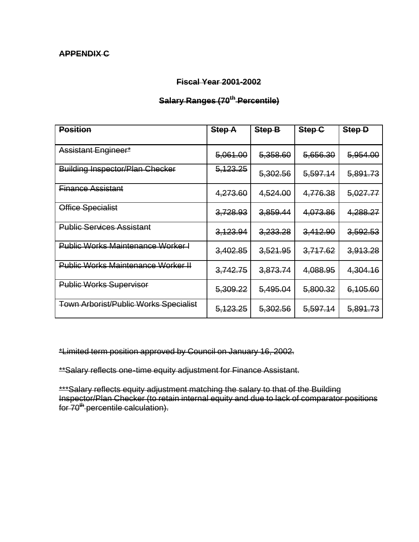#### **APPENDIX C**

#### **Fiscal Year 2001-2002**

# **Salary Ranges (70th Percentile)**

| <b>Position</b>                           | <b>Step A</b> | Step-B   | Step <sub>C</sub> | Step-D   |
|-------------------------------------------|---------------|----------|-------------------|----------|
| Assistant Engineer*                       | 5,061.00      | 5,358.60 | 5,656.30          | 5,954.00 |
| <b>Building Inspector/Plan Checker</b>    | 5, 123. 25    | 5,302.56 | 5,597.14          | 5,891.73 |
| <b>Finance Assistant</b>                  | 4,273.60      | 4,524.00 | 4,776.38          | 5,027.77 |
| Office Specialist                         | 3,728.93      | 3,859.44 | 4,073.86          | 4,288.27 |
| <b>Public Services Assistant</b>          | 3,123.94      | 3,233.28 | 3,412.90          | 3,592.53 |
| <b>Public Works Maintenance Worker I</b>  | 3,402.85      | 3,521.95 | 3,717.62          | 3,913.28 |
| <b>Public Works Maintenance Worker II</b> | 3,742.75      | 3,873.74 | 4,088.95          | 4,304.16 |
| <b>Public Works Supervisor</b>            | 5,309.22      | 5,495.04 | 5,800.32          | 6,105.60 |
| Town Arborist/Public Works Specialist     | 5, 123. 25    | 5,302.56 | 5,597.14          | 5,891.73 |

\*Limited term position approved by Council on January 16, 2002.

\*\*Salary reflects one-time equity adjustment for Finance Assistant.

\*\*\*Salary reflects equity adjustment matching the salary to that of the Building Inspector/Plan Checker (to retain internal equity and due to lack of comparator positions for 70<sup>th</sup> percentile calculation).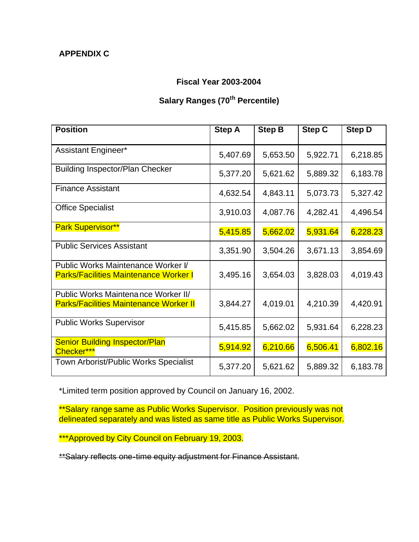## **APPENDIX C**

#### **Fiscal Year 2003-2004**

# **Salary Ranges (70th Percentile)**

| <b>Position</b>                                                                      | <b>Step A</b> | <b>Step B</b> | <b>Step C</b> | <b>Step D</b> |
|--------------------------------------------------------------------------------------|---------------|---------------|---------------|---------------|
| Assistant Engineer*                                                                  | 5,407.69      | 5,653.50      | 5,922.71      | 6,218.85      |
| <b>Building Inspector/Plan Checker</b>                                               | 5,377.20      | 5,621.62      | 5,889.32      | 6,183.78      |
| <b>Finance Assistant</b>                                                             | 4,632.54      | 4,843.11      | 5,073.73      | 5,327.42      |
| <b>Office Specialist</b>                                                             | 3,910.03      | 4,087.76      | 4,282.41      | 4,496.54      |
| <b>Park Supervisor**</b>                                                             | 5,415.85      | 5,662.02      | 5,931.64      | 6,228.23      |
| <b>Public Services Assistant</b>                                                     | 3,351.90      | 3,504.26      | 3,671.13      | 3,854.69      |
| Public Works Maintenance Worker I/<br><b>Parks/Facilities Maintenance Worker I</b>   | 3,495.16      | 3,654.03      | 3,828.03      | 4,019.43      |
| Public Works Maintenance Worker II/<br><b>Parks/Facilities Maintenance Worker II</b> | 3,844.27      | 4,019.01      | 4,210.39      | 4,420.91      |
| <b>Public Works Supervisor</b>                                                       | 5,415.85      | 5,662.02      | 5,931.64      | 6,228.23      |
| <b>Senior Building Inspector/Plan</b><br>Checker***                                  | 5,914.92      | 6,210.66      | 6,506.41      | 6,802.16      |
| <b>Town Arborist/Public Works Specialist</b>                                         | 5,377.20      | 5,621.62      | 5,889.32      | 6,183.78      |

\*Limited term position approved by Council on January 16, 2002.

\*\*Salary range same as Public Works Supervisor. Position previously was not delineated separately and was listed as same title as Public Works Supervisor.

\*\*\*Approved by City Council on February 19, 2003.

\*\*Salary reflects one-time equity adjustment for Finance Assistant.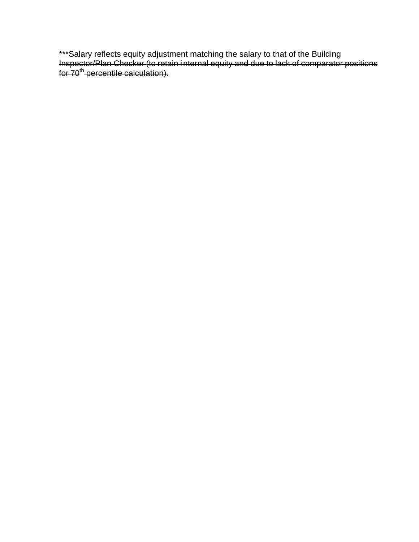\*\*\*Salary reflects equity adjustment matching the salary to that of the Building Inspector/Plan Checker (to retain internal equity and due to lack of comparator positions for 70<sup>th</sup> percentile calculation).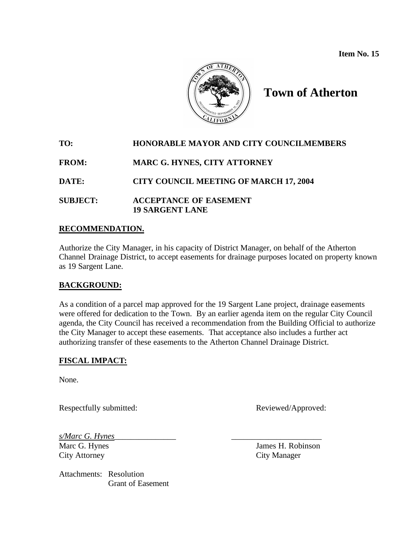**Item No. 15**



# **Town of Atherton**

# **TO: HONORABLE MAYOR AND CITY COUNCILMEMBERS FROM: MARC G. HYNES, CITY ATTORNEY DATE: CITY COUNCIL MEETING OF MARCH 17, 2004 SUBJECT: ACCEPTANCE OF EASEMENT 19 SARGENT LANE**

#### **RECOMMENDATION.**

Authorize the City Manager, in his capacity of District Manager, on behalf of the Atherton Channel Drainage District, to accept easements for drainage purposes located on property known as 19 Sargent Lane.

#### **BACKGROUND:**

As a condition of a parcel map approved for the 19 Sargent Lane project, drainage easements were offered for dedication to the Town. By an earlier agenda item on the regular City Council agenda, the City Council has received a recommendation from the Building Official to authorize the City Manager to accept these easements. That acceptance also includes a further act authorizing transfer of these easements to the Atherton Channel Drainage District.

#### **FISCAL IMPACT:**

None.

Respectfully submitted: Reviewed/Approved:

*s/Marc G. Hynes*\_\_\_\_\_\_\_\_\_\_\_\_\_\_\_ \_\_\_\_\_\_\_\_\_\_\_\_\_\_\_\_\_\_\_\_\_\_ City Attorney City Manager

Attachments: Resolution Grant of Easement

Marc G. Hynes James H. Robinson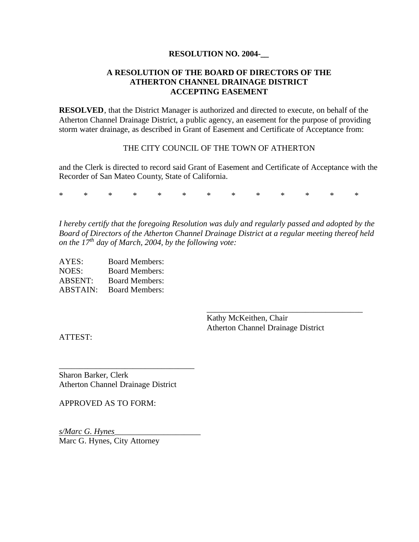#### **RESOLUTION NO. 2004-\_\_**

#### **A RESOLUTION OF THE BOARD OF DIRECTORS OF THE ATHERTON CHANNEL DRAINAGE DISTRICT ACCEPTING EASEMENT**

**RESOLVED**, that the District Manager is authorized and directed to execute, on behalf of the Atherton Channel Drainage District, a public agency, an easement for the purpose of providing storm water drainage, as described in Grant of Easement and Certificate of Acceptance from:

#### THE CITY COUNCIL OF THE TOWN OF ATHERTON

and the Clerk is directed to record said Grant of Easement and Certificate of Acceptance with the Recorder of San Mateo County, State of California.

\* \* \* \* \* \* \* \* \* \* \* \* \*

*I hereby certify that the foregoing Resolution was duly and regularly passed and adopted by the Board of Directors of the Atherton Channel Drainage District at a regular meeting thereof held on the 17th day of March, 2004, by the following vote:*

| AYES:           | <b>Board Members:</b> |
|-----------------|-----------------------|
| NOES:           | <b>Board Members:</b> |
| <b>ABSENT:</b>  | <b>Board Members:</b> |
| <b>ABSTAIN:</b> | <b>Board Members:</b> |

Kathy McKeithen, Chair Atherton Channel Drainage District

\_\_\_\_\_\_\_\_\_\_\_\_\_\_\_\_\_\_\_\_\_\_\_\_\_\_\_\_\_\_\_\_\_\_\_\_\_\_

ATTEST:

Sharon Barker, Clerk Atherton Channel Drainage District

\_\_\_\_\_\_\_\_\_\_\_\_\_\_\_\_\_\_\_\_\_\_\_\_\_\_\_\_\_\_\_\_\_

APPROVED AS TO FORM:

*s/Marc G. Hynes*\_\_\_\_\_\_\_\_\_\_\_\_\_\_\_\_\_\_\_\_\_ Marc G. Hynes, City Attorney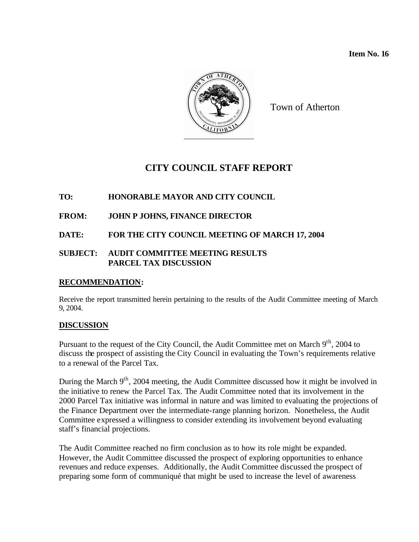**Item No. 16** 



Town of Atherton

# **CITY COUNCIL STAFF REPORT**

#### **TO: HONORABLE MAYOR AND CITY COUNCIL**

#### **FROM: JOHN P JOHNS, FINANCE DIRECTOR**

#### **DATE: FOR THE CITY COUNCIL MEETING OF MARCH 17, 2004**

#### **SUBJECT: AUDIT COMMITTEE MEETING RESULTS PARCEL TAX DISCUSSION**

#### **RECOMMENDATION:**

Receive the report transmitted herein pertaining to the results of the Audit Committee meeting of March 9, 2004.

#### **DISCUSSION**

Pursuant to the request of the City Council, the Audit Committee met on March 9<sup>th</sup>, 2004 to discuss the prospect of assisting the City Council in evaluating the Town's requirements relative to a renewal of the Parcel Tax.

During the March 9<sup>th</sup>, 2004 meeting, the Audit Committee discussed how it might be involved in the initiative to renew the Parcel Tax. The Audit Committee noted that its involvement in the 2000 Parcel Tax initiative was informal in nature and was limited to evaluating the projections of the Finance Department over the intermediate-range planning horizon. Nonetheless, the Audit Committee expressed a willingness to consider extending its involvement beyond evaluating staff's financial projections.

The Audit Committee reached no firm conclusion as to how its role might be expanded. However, the Audit Committee discussed the prospect of exploring opportunities to enhance revenues and reduce expenses. Additionally, the Audit Committee discussed the prospect of preparing some form of communiqué that might be used to increase the level of awareness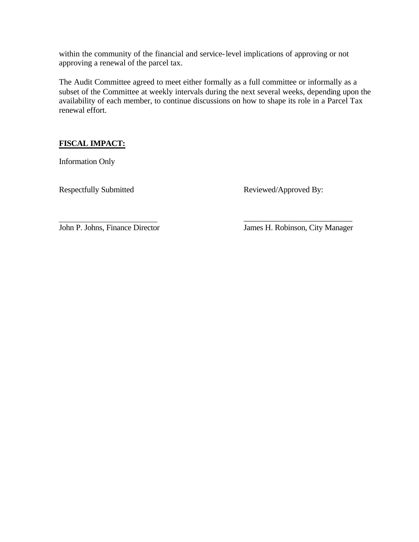within the community of the financial and service-level implications of approving or not approving a renewal of the parcel tax.

The Audit Committee agreed to meet either formally as a full committee or informally as a subset of the Committee at weekly intervals during the next several weeks, depending upon the availability of each member, to continue discussions on how to shape its role in a Parcel Tax renewal effort.

#### **FISCAL IMPACT:**

Information Only

Respectfully Submitted Reviewed/Approved By:

\_\_\_\_\_\_\_\_\_\_\_\_\_\_\_\_\_\_\_\_\_\_\_\_\_\_\_ John P. Johns, Finance Director James H. Robinson, City Manager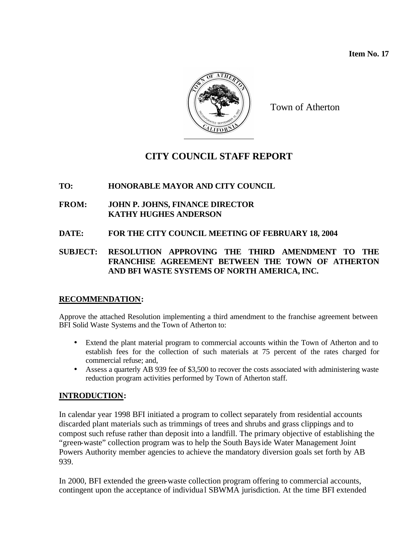**Item No. 17** 



Town of Atherton

# **CITY COUNCIL STAFF REPORT**

#### **TO: HONORABLE MAYOR AND CITY COUNCIL**

- **FROM: JOHN P. JOHNS, FINANCE DIRECTOR KATHY HUGHES ANDERSON**
- **DATE: FOR THE CITY COUNCIL MEETING OF FEBRUARY 18, 2004**

#### **SUBJECT: RESOLUTION APPROVING THE THIRD AMENDMENT TO THE FRANCHISE AGREEMENT BETWEEN THE TOWN OF ATHERTON AND BFI WASTE SYSTEMS OF NORTH AMERICA, INC.**

## **RECOMMENDATION:**

Approve the attached Resolution implementing a third amendment to the franchise agreement between BFI Solid Waste Systems and the Town of Atherton to:

- Extend the plant material program to commercial accounts within the Town of Atherton and to establish fees for the collection of such materials at 75 percent of the rates charged for commercial refuse; and,
- Assess a quarterly AB 939 fee of \$3,500 to recover the costs associated with administering waste reduction program activities performed by Town of Atherton staff.

#### **INTRODUCTION:**

In calendar year 1998 BFI initiated a program to collect separately from residential accounts discarded plant materials such as trimmings of trees and shrubs and grass clippings and to compost such refuse rather than deposit into a landfill. The primary objective of establishing the "green-waste" collection program was to help the South Bayside Water Management Joint Powers Authority member agencies to achieve the mandatory diversion goals set forth by AB 939.

In 2000, BFI extended the green-waste collection program offering to commercial accounts, contingent upon the acceptance of individual SBWMA jurisdiction. At the time BFI extended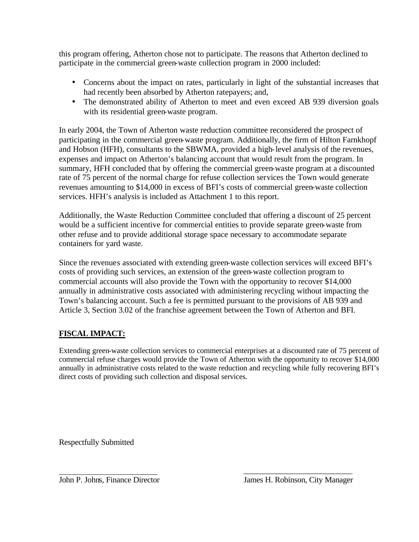this program offering, Atherton chose not to participate. The reasons that Atherton declined to participate in the commercial green-waste collection program in 2000 included:

- Concerns about the impact on rates, particularly in light of the substantial increases that had recently been absorbed by Atherton ratepayers; and,
- The demonstrated ability of Atherton to meet and even exceed AB 939 diversion goals with its residential green-waste program.

In early 2004, the Town of Atherton waste reduction committee reconsidered the prospect of participating in the commercial green-waste program. Additionally, the firm of Hilton Farnkhopf and Hobson (HFH), consultants to the SBWMA, provided a high-level analysis of the revenues, expenses and impact on Atherton's balancing account that would result from the program. In summary, HFH concluded that by offering the commercial green-waste program at a discounted rate of 75 percent of the normal charge for refuse collection services the Town would generate revenues amounting to \$14,000 in excess of BFI's costs of commercial green-waste collection services. HFH's analysis is included as Attachment 1 to this report.

Additionally, the Waste Reduction Committee concluded that offering a discount of 25 percent would be a sufficient incentive for commercial entities to provide separate green-waste from other refuse and to provide additional storage space necessary to accommodate separate containers for yard waste.

Since the revenues associated with extending green-waste collection services will exceed BFI's costs of providing such services, an extension of the green-waste collection program to commercial accounts will also provide the Town with the opportunity to recover \$14,000 annually in administrative costs associated with administering recycling without impacting the Town's balancing account. Such a fee is permitted pursuant to the provisions of AB 939 and Article 3, Section 3.02 of the franchise agreement between the Town of Atherton and BFI.

# **FISCAL IMPACT:**

Extending green-waste collection services to commercial enterprises at a discounted rate of 75 percent of commercial refuse charges would provide the Town of Atherton with the opportunity to recover \$14,000 annually in administrative costs related to the waste reduction and recycling while fully recovering BFI's direct costs of providing such collection and disposal services.

Respectfully Submitted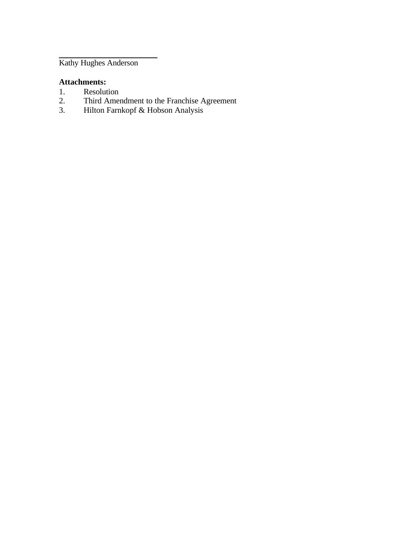Kathy Hughes Anderson

#### **Attachments:**

- 
- 1. Resolution<br>2. Third Amer 2. Third Amendment to the Franchise Agreement
- 3. Hilton Farnkopf & Hobson Analysis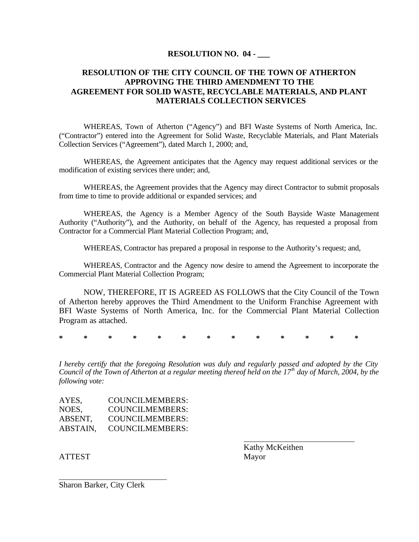#### **RESOLUTION NO. 04 -**

#### **RESOLUTION OF THE CITY COUNCIL OF THE TOWN OF ATHERTON APPROVING THE THIRD AMENDMENT TO THE AGREEMENT FOR SOLID WASTE, RECYCLABLE MATERIALS, AND PLANT MATERIALS COLLECTION SERVICES**

WHEREAS, Town of Atherton ("Agency") and BFI Waste Systems of North America, Inc. ("Contractor") entered into the Agreement for Solid Waste, Recyclable Materials, and Plant Materials Collection Services ("Agreement"), dated March 1, 2000; and,

WHEREAS, the Agreement anticipates that the Agency may request additional services or the modification of existing services there under; and,

WHEREAS, the Agreement provides that the Agency may direct Contractor to submit proposals from time to time to provide additional or expanded services; and

WHEREAS, the Agency is a Member Agency of the South Bayside Waste Management Authority ("Authority"), and the Authority, on behalf of the Agency, has requested a proposal from Contractor for a Commercial Plant Material Collection Program; and,

WHEREAS, Contractor has prepared a proposal in response to the Authority's request; and,

WHEREAS, Contractor and the Agency now desire to amend the Agreement to incorporate the Commercial Plant Material Collection Program;

NOW, THEREFORE, IT IS AGREED AS FOLLOWS that the City Council of the Town of Atherton hereby approves the Third Amendment to the Uniform Franchise Agreement with BFI Waste Systems of North America, Inc. for the Commercial Plant Material Collection Program as attached.

**\* \* \* \* \* \* \* \* \* \* \* \* \***

*I hereby certify that the foregoing Resolution was duly and regularly passed and adopted by the City Council of the Town of Atherton at a regular meeting thereof held on the 17th day of March, 2004, by the following vote:*

| AYES,    | COUNCILMEMBERS:        |
|----------|------------------------|
| NOES,    | COUNCILMEMBERS:        |
| ABSENT,  | COUNCILMEMBERS:        |
| ABSTAIN. | <b>COUNCILMEMBERS:</b> |

ATTEST Mayor

Kathy McKeithen

Sharon Barker, City Clerk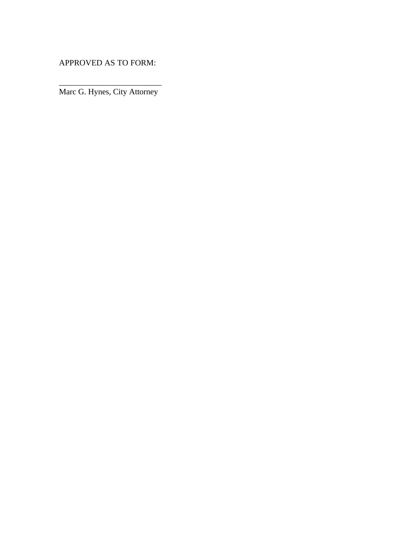APPROVED AS TO FORM:

\_\_\_\_\_\_\_\_\_\_\_\_\_\_\_\_\_\_\_\_\_\_\_\_\_ Marc G. Hynes, City Attorney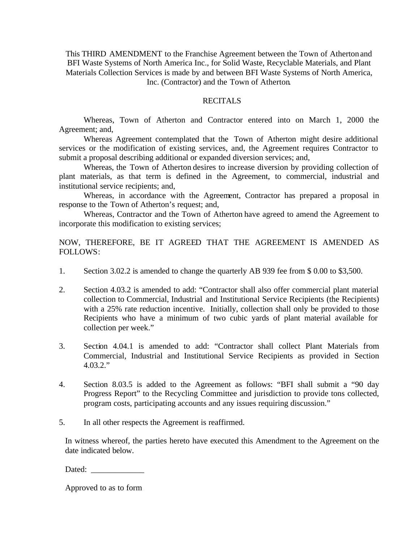This THIRD AMENDMENT to the Franchise Agreement between the Town of Atherton and BFI Waste Systems of North America Inc., for Solid Waste, Recyclable Materials, and Plant Materials Collection Services is made by and between BFI Waste Systems of North America, Inc. (Contractor) and the Town of Atherton.

#### **RECITALS**

Whereas, Town of Atherton and Contractor entered into on March 1, 2000 the Agreement; and,

Whereas Agreement contemplated that the Town of Atherton might desire additional services or the modification of existing services, and, the Agreement requires Contractor to submit a proposal describing additional or expanded diversion services; and,

Whereas, the Town of Atherton desires to increase diversion by providing collection of plant materials, as that term is defined in the Agreement, to commercial, industrial and institutional service recipients; and,

Whereas, in accordance with the Agreement, Contractor has prepared a proposal in response to the Town of Atherton's request; and,

Whereas, Contractor and the Town of Atherton have agreed to amend the Agreement to incorporate this modification to existing services;

#### NOW, THEREFORE, BE IT AGREED THAT THE AGREEMENT IS AMENDED AS FOLLOWS:

- 1. Section 3.02.2 is amended to change the quarterly AB 939 fee from \$ 0.00 to \$3,500.
- 2. Section 4.03.2 is amended to add: "Contractor shall also offer commercial plant material collection to Commercial, Industrial and Institutional Service Recipients (the Recipients) with a 25% rate reduction incentive. Initially, collection shall only be provided to those Recipients who have a minimum of two cubic yards of plant material available for collection per week."
- 3. Section 4.04.1 is amended to add: "Contractor shall collect Plant Materials from Commercial, Industrial and Institutional Service Recipients as provided in Section 4.03.2."
- 4. Section 8.03.5 is added to the Agreement as follows: "BFI shall submit a "90 day Progress Report" to the Recycling Committee and jurisdiction to provide tons collected, program costs, participating accounts and any issues requiring discussion."
- 5. In all other respects the Agreement is reaffirmed.

In witness whereof, the parties hereto have executed this Amendment to the Agreement on the date indicated below.

Dated: \_\_\_\_\_\_\_\_\_\_\_\_\_

Approved to as to form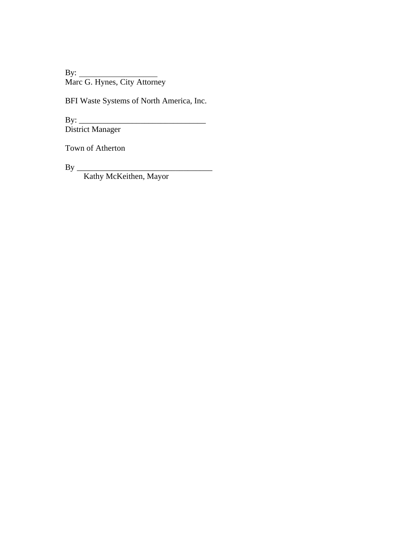By: Marc G. Hynes, City Attorney

BFI Waste Systems of North America, Inc.

By: \_\_\_\_\_\_\_\_\_\_\_\_\_\_\_\_\_\_\_\_\_\_\_\_\_\_\_\_\_\_\_ District Manager

Town of Atherton

By \_\_\_\_\_\_\_\_\_\_\_\_\_\_\_\_\_\_\_\_\_\_\_\_\_\_\_\_\_\_\_\_\_

Kathy McKeithen, Mayor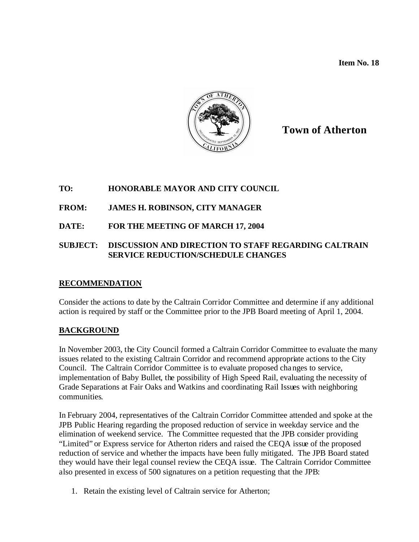**Item No. 18**



**Town of Atherton**

#### **TO: HONORABLE MAYOR AND CITY COUNCIL**

**FROM: JAMES H. ROBINSON, CITY MANAGER**

#### **DATE: FOR THE MEETING OF MARCH 17, 2004**

#### **SUBJECT: DISCUSSION AND DIRECTION TO STAFF REGARDING CALTRAIN SERVICE REDUCTION/SCHEDULE CHANGES**

#### **RECOMMENDATION**

Consider the actions to date by the Caltrain Corridor Committee and determine if any additional action is required by staff or the Committee prior to the JPB Board meeting of April 1, 2004.

#### **BACKGROUND**

In November 2003, the City Council formed a Caltrain Corridor Committee to evaluate the many issues related to the existing Caltrain Corridor and recommend appropriate actions to the City Council. The Caltrain Corridor Committee is to evaluate proposed changes to service, implementation of Baby Bullet, the possibility of High Speed Rail, evaluating the necessity of Grade Separations at Fair Oaks and Watkins and coordinating Rail Issues with neighboring communities.

In February 2004, representatives of the Caltrain Corridor Committee attended and spoke at the JPB Public Hearing regarding the proposed reduction of service in weekday service and the elimination of weekend service. The Committee requested that the JPB consider providing "Limited" or Express service for Atherton riders and raised the CEQA issue of the proposed reduction of service and whether the impacts have been fully mitigated. The JPB Board stated they would have their legal counsel review the CEQA issue. The Caltrain Corridor Committee also presented in excess of 500 signatures on a petition requesting that the JPB:

1. Retain the existing level of Caltrain service for Atherton;